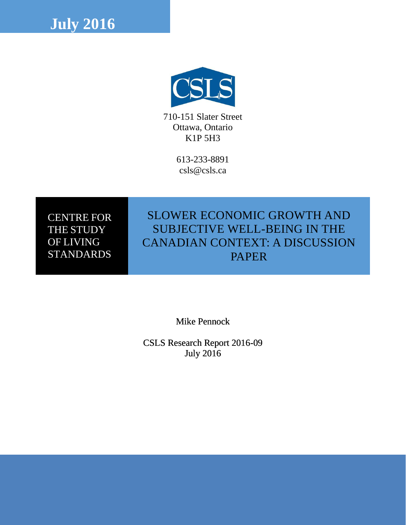



710-151 Slater Street Ottawa, Ontario K1P 5H3

> 613-233-8891 csls@csls.ca

CENTRE FOR THE STUDY OF LIVING **STANDARDS** 

## SLOWER ECONOMIC GROWTH AND SUBJECTIVE WELL-BEING IN THE CANADIAN CONTEXT: A DISCUSSION PAPER

Mike Pennock

CSLS Research Report 2016-09 July 2016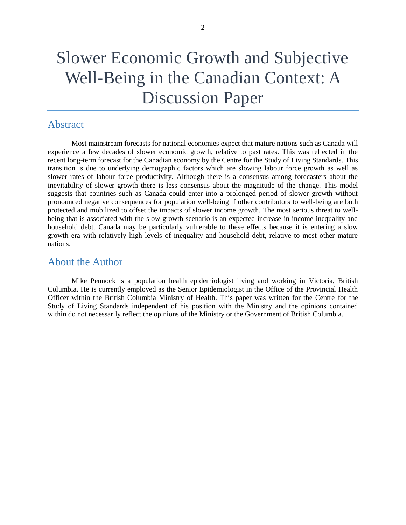## Slower Economic Growth and Subjective Well-Being in the Canadian Context: A Discussion Paper

## <span id="page-1-0"></span>Abstract

Most mainstream forecasts for national economies expect that mature nations such as Canada will experience a few decades of slower economic growth, relative to past rates. This was reflected in the recent long-term forecast for the Canadian economy by the Centre for the Study of Living Standards. This transition is due to underlying demographic factors which are slowing labour force growth as well as slower rates of labour force productivity. Although there is a consensus among forecasters about the inevitability of slower growth there is less consensus about the magnitude of the change. This model suggests that countries such as Canada could enter into a prolonged period of slower growth without pronounced negative consequences for population well-being if other contributors to well-being are both protected and mobilized to offset the impacts of slower income growth. The most serious threat to wellbeing that is associated with the slow-growth scenario is an expected increase in income inequality and household debt. Canada may be particularly vulnerable to these effects because it is entering a slow growth era with relatively high levels of inequality and household debt, relative to most other mature nations.

### <span id="page-1-1"></span>About the Author

Mike Pennock is a population health epidemiologist living and working in Victoria, British Columbia. He is currently employed as the Senior Epidemiologist in the Office of the Provincial Health Officer within the British Columbia Ministry of Health. This paper was written for the Centre for the Study of Living Standards independent of his position with the Ministry and the opinions contained within do not necessarily reflect the opinions of the Ministry or the Government of British Columbia.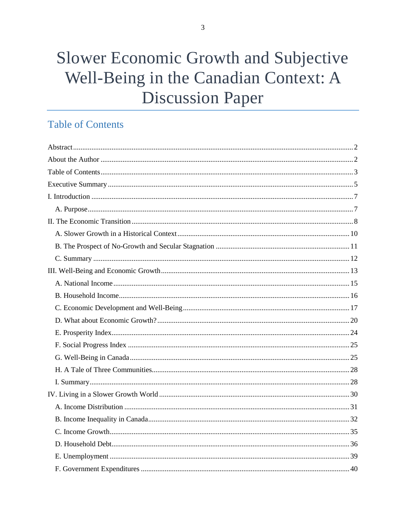# Slower Economic Growth and Subjective Well-Being in the Canadian Context: A **Discussion Paper**

## <span id="page-2-0"></span>**Table of Contents**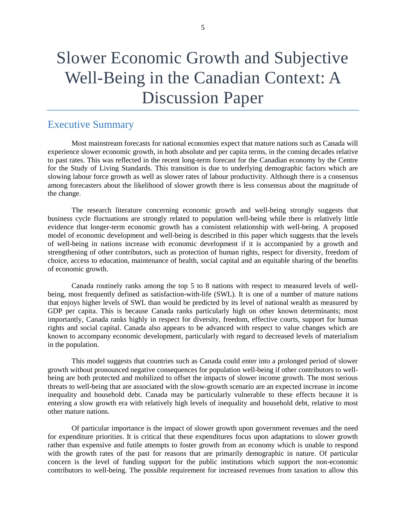## Slower Economic Growth and Subjective Well-Being in the Canadian Context: A Discussion Paper

## <span id="page-4-0"></span>Executive Summary

Most mainstream forecasts for national economies expect that mature nations such as Canada will experience slower economic growth, in both absolute and per capita terms, in the coming decades relative to past rates. This was reflected in the recent long-term forecast for the Canadian economy by the Centre for the Study of Living Standards. This transition is due to underlying demographic factors which are slowing labour force growth as well as slower rates of labour productivity. Although there is a consensus among forecasters about the likelihood of slower growth there is less consensus about the magnitude of the change.

The research literature concerning economic growth and well-being strongly suggests that business cycle fluctuations are strongly related to population well-being while there is relatively little evidence that longer-term economic growth has a consistent relationship with well-being. A proposed model of economic development and well-being is described in this paper which suggests that the levels of well-being in nations increase with economic development if it is accompanied by a growth and strengthening of other contributors, such as protection of human rights, respect for diversity, freedom of choice, access to education, maintenance of health, social capital and an equitable sharing of the benefits of economic growth.

Canada routinely ranks among the top 5 to 8 nations with respect to measured levels of wellbeing, most frequently defined as satisfaction-with-life (SWL). It is one of a number of mature nations that enjoys higher levels of SWL than would be predicted by its level of national wealth as measured by GDP per capita. This is because Canada ranks particularly high on other known determinants; most importantly, Canada ranks highly in respect for diversity, freedom, effective courts, support for human rights and social capital. Canada also appears to be advanced with respect to value changes which are known to accompany economic development, particularly with regard to decreased levels of materialism in the population.

This model suggests that countries such as Canada could enter into a prolonged period of slower growth without pronounced negative consequences for population well-being if other contributors to wellbeing are both protected and mobilized to offset the impacts of slower income growth. The most serious threats to well-being that are associated with the slow-growth scenario are an expected increase in income inequality and household debt. Canada may be particularly vulnerable to these effects because it is entering a slow growth era with relatively high levels of inequality and household debt, relative to most other mature nations.

Of particular importance is the impact of slower growth upon government revenues and the need for expenditure priorities. It is critical that these expenditures focus upon adaptations to slower growth rather than expensive and futile attempts to foster growth from an economy which is unable to respond with the growth rates of the past for reasons that are primarily demographic in nature. Of particular concern is the level of funding support for the public institutions which support the non-economic contributors to well-being. The possible requirement for increased revenues from taxation to allow this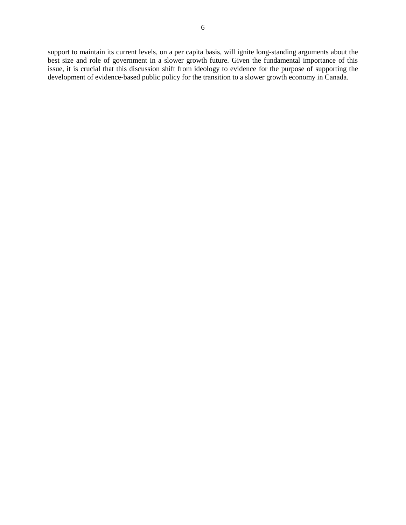support to maintain its current levels, on a per capita basis, will ignite long-standing arguments about the best size and role of government in a slower growth future. Given the fundamental importance of this issue, it is crucial that this discussion shift from ideology to evidence for the purpose of supporting the development of evidence-based public policy for the transition to a slower growth economy in Canada.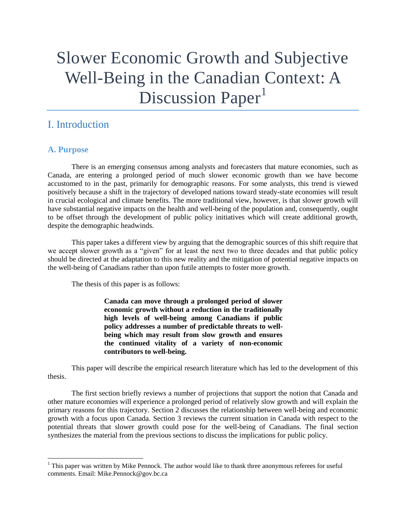# Slower Economic Growth and Subjective Well-Being in the Canadian Context: A Discussion Paper<sup>1</sup>

## <span id="page-6-0"></span>I. Introduction

## <span id="page-6-1"></span>**A. Purpose**

 $\overline{\phantom{a}}$ 

There is an emerging consensus among analysts and forecasters that mature economies, such as Canada, are entering a prolonged period of much slower economic growth than we have become accustomed to in the past, primarily for demographic reasons. For some analysts, this trend is viewed positively because a shift in the trajectory of developed nations toward steady-state economies will result in crucial ecological and climate benefits. The more traditional view, however, is that slower growth will have substantial negative impacts on the health and well-being of the population and, consequently, ought to be offset through the development of public policy initiatives which will create additional growth, despite the demographic headwinds.

This paper takes a different view by arguing that the demographic sources of this shift require that we accept slower growth as a "given" for at least the next two to three decades and that public policy should be directed at the adaptation to this new reality and the mitigation of potential negative impacts on the well-being of Canadians rather than upon futile attempts to foster more growth.

The thesis of this paper is as follows:

**Canada can move through a prolonged period of slower economic growth without a reduction in the traditionally high levels of well-being among Canadians if public policy addresses a number of predictable threats to wellbeing which may result from slow growth and ensures the continued vitality of a variety of non-economic contributors to well-being.** 

This paper will describe the empirical research literature which has led to the development of this thesis.

The first section briefly reviews a number of projections that support the notion that Canada and other mature economies will experience a prolonged period of relatively slow growth and will explain the primary reasons for this trajectory. Section 2 discusses the relationship between well-being and economic growth with a focus upon Canada. Section 3 reviews the current situation in Canada with respect to the potential threats that slower growth could pose for the well-being of Canadians. The final section synthesizes the material from the previous sections to discuss the implications for public policy.

 $1$  This paper was written by Mike Pennock. The author would like to thank three anonymous referees for useful comments. Email: Mike.Pennock@gov.bc.ca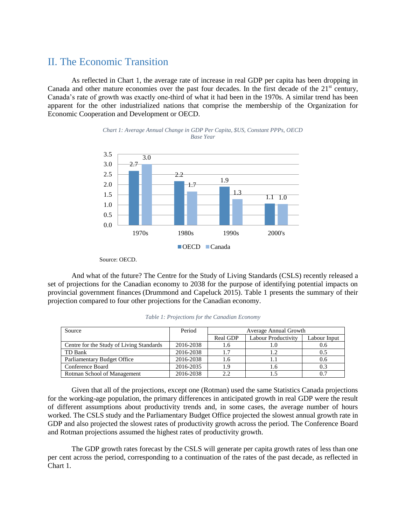## <span id="page-7-0"></span>II. The Economic Transition

As reflected in Chart 1, the average rate of increase in real GDP per capita has been dropping in Canada and other mature economies over the past four decades. In the first decade of the 21<sup>st</sup> century, Canada's rate of growth was exactly one-third of what it had been in the 1970s. A similar trend has been apparent for the other industrialized nations that comprise the membership of the Organization for Economic Cooperation and Development or OECD.





Source: OECD.

And what of the future? The Centre for the Study of Living Standards (CSLS) recently released a set of projections for the Canadian economy to 2038 for the purpose of identifying potential impacts on provincial government finances (Drummond and Capeluck 2015). Table 1 presents the summary of their projection compared to four other projections for the Canadian economy.

| Source                                   | Period    | Average Annual Growth |                     |              |  |
|------------------------------------------|-----------|-----------------------|---------------------|--------------|--|
|                                          |           | Real GDP              | Labour Productivity | Labour Input |  |
| Centre for the Study of Living Standards | 2016-2038 | 1.6                   |                     | 0.6          |  |
| TD Bank                                  | 2016-2038 | 17                    | 1.2                 | 0.5          |  |
| Parliamentary Budget Office              | 2016-2038 | 1.6                   |                     | 0.6          |  |
| Conference Board                         | 2016-2035 | 1.9                   | 1.6                 |              |  |
| Rotman School of Management              | 2016-2038 | 2.2                   |                     |              |  |

*Table 1: Projections for the Canadian Economy*

Given that all of the projections, except one (Rotman) used the same Statistics Canada projections for the working-age population, the primary differences in anticipated growth in real GDP were the result of different assumptions about productivity trends and, in some cases, the average number of hours worked. The CSLS study and the Parliamentary Budget Office projected the slowest annual growth rate in GDP and also projected the slowest rates of productivity growth across the period. The Conference Board and Rotman projections assumed the highest rates of productivity growth.

The GDP growth rates forecast by the CSLS will generate per capita growth rates of less than one per cent across the period, corresponding to a continuation of the rates of the past decade, as reflected in Chart 1.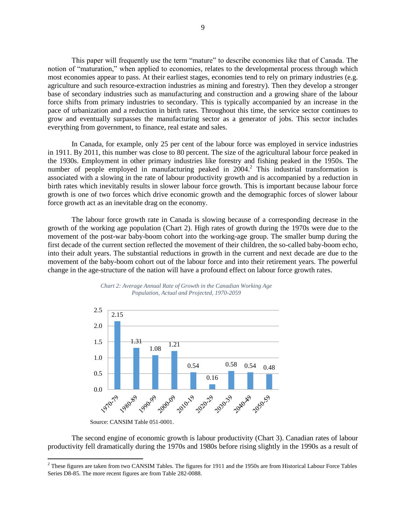This paper will frequently use the term "mature" to describe economies like that of Canada. The notion of "maturation," when applied to economies, relates to the developmental process through which most economies appear to pass. At their earliest stages, economies tend to rely on primary industries (e.g. agriculture and such resource-extraction industries as mining and forestry). Then they develop a stronger base of secondary industries such as manufacturing and construction and a growing share of the labour force shifts from primary industries to secondary. This is typically accompanied by an increase in the pace of urbanization and a reduction in birth rates. Throughout this time, the service sector continues to grow and eventually surpasses the manufacturing sector as a generator of jobs. This sector includes everything from government, to finance, real estate and sales.

In Canada, for example, only 25 per cent of the labour force was employed in service industries in 1911. By 2011, this number was close to 80 percent. The size of the agricultural labour force peaked in the 1930s. Employment in other primary industries like forestry and fishing peaked in the 1950s. The number of people employed in manufacturing peaked in  $2004<sup>2</sup>$ . This industrial transformation is associated with a slowing in the rate of labour productivity growth and is accompanied by a reduction in birth rates which inevitably results in slower labour force growth. This is important because labour force growth is one of two forces which drive economic growth and the demographic forces of slower labour force growth act as an inevitable drag on the economy.

The labour force growth rate in Canada is slowing because of a corresponding decrease in the growth of the working age population (Chart 2). High rates of growth during the 1970s were due to the movement of the post-war baby-boom cohort into the working-age group. The smaller bump during the first decade of the current section reflected the movement of their children, the so-called baby-boom echo, into their adult years. The substantial reductions in growth in the current and next decade are due to the movement of the baby-boom cohort out of the labour force and into their retirement years. The powerful change in the age-structure of the nation will have a profound effect on labour force growth rates.





 $\overline{\phantom{a}}$ 

The second engine of economic growth is labour productivity (Chart 3). Canadian rates of labour productivity fell dramatically during the 1970s and 1980s before rising slightly in the 1990s as a result of

Source: CANSIM Table 051-0001.

 $<sup>2</sup>$  These figures are taken from two CANSIM Tables. The figures for 1911 and the 1950s are from Historical Labour Force Tables</sup> Series D8-85. The more recent figures are from Table 282-0088.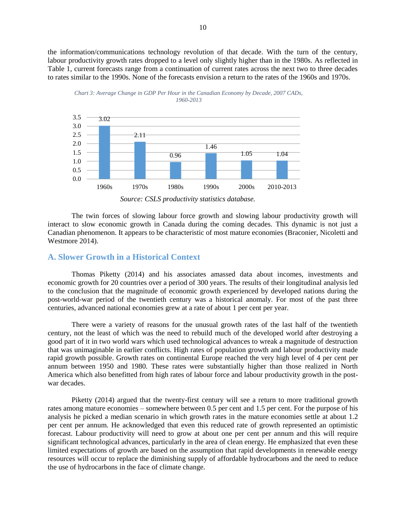the information/communications technology revolution of that decade. With the turn of the century, labour productivity growth rates dropped to a level only slightly higher than in the 1980s. As reflected in Table 1, current forecasts range from a continuation of current rates across the next two to three decades to rates similar to the 1990s. None of the forecasts envision a return to the rates of the 1960s and 1970s.





*Source: CSLS productivity statistics database.*

The twin forces of slowing labour force growth and slowing labour productivity growth will interact to slow economic growth in Canada during the coming decades. This dynamic is not just a Canadian phenomenon. It appears to be characteristic of most mature economies (Braconier, Nicoletti and Westmore 2014).

#### <span id="page-9-0"></span>**A. Slower Growth in a Historical Context**

Thomas Piketty (2014) and his associates amassed data about incomes, investments and economic growth for 20 countries over a period of 300 years. The results of their longitudinal analysis led to the conclusion that the magnitude of economic growth experienced by developed nations during the post-world-war period of the twentieth century was a historical anomaly. For most of the past three centuries, advanced national economies grew at a rate of about 1 per cent per year.

There were a variety of reasons for the unusual growth rates of the last half of the twentieth century, not the least of which was the need to rebuild much of the developed world after destroying a good part of it in two world wars which used technological advances to wreak a magnitude of destruction that was unimaginable in earlier conflicts. High rates of population growth and labour productivity made rapid growth possible. Growth rates on continental Europe reached the very high level of 4 per cent per annum between 1950 and 1980. These rates were substantially higher than those realized in North America which also benefitted from high rates of labour force and labour productivity growth in the postwar decades.

Piketty (2014) argued that the twenty-first century will see a return to more traditional growth rates among mature economies – somewhere between 0.5 per cent and 1.5 per cent. For the purpose of his analysis he picked a median scenario in which growth rates in the mature economies settle at about 1.2 per cent per annum. He acknowledged that even this reduced rate of growth represented an optimistic forecast. Labour productivity will need to grow at about one per cent per annum and this will require significant technological advances, particularly in the area of clean energy. He emphasized that even these limited expectations of growth are based on the assumption that rapid developments in renewable energy resources will occur to replace the diminishing supply of affordable hydrocarbons and the need to reduce the use of hydrocarbons in the face of climate change.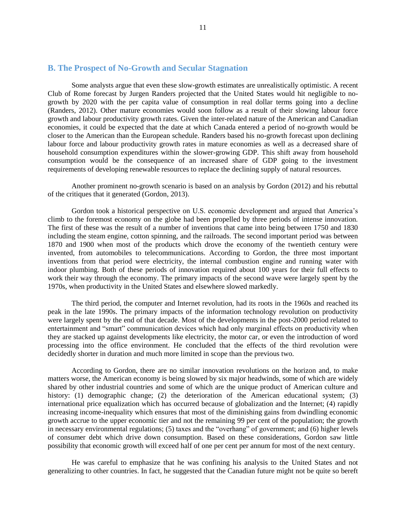#### <span id="page-10-0"></span>**B. The Prospect of No-Growth and Secular Stagnation**

Some analysts argue that even these slow-growth estimates are unrealistically optimistic. A recent Club of Rome forecast by Jurgen Randers projected that the United States would hit negligible to nogrowth by 2020 with the per capita value of consumption in real dollar terms going into a decline (Randers, 2012). Other mature economies would soon follow as a result of their slowing labour force growth and labour productivity growth rates. Given the inter-related nature of the American and Canadian economies, it could be expected that the date at which Canada entered a period of no-growth would be closer to the American than the European schedule. Randers based his no-growth forecast upon declining labour force and labour productivity growth rates in mature economies as well as a decreased share of household consumption expenditures within the slower-growing GDP. This shift away from household consumption would be the consequence of an increased share of GDP going to the investment requirements of developing renewable resources to replace the declining supply of natural resources.

Another prominent no-growth scenario is based on an analysis by Gordon (2012) and his rebuttal of the critiques that it generated (Gordon, 2013).

Gordon took a historical perspective on U.S. economic development and argued that America's climb to the foremost economy on the globe had been propelled by three periods of intense innovation. The first of these was the result of a number of inventions that came into being between 1750 and 1830 including the steam engine, cotton spinning, and the railroads. The second important period was between 1870 and 1900 when most of the products which drove the economy of the twentieth century were invented, from automobiles to telecommunications. According to Gordon, the three most important inventions from that period were electricity, the internal combustion engine and running water with indoor plumbing. Both of these periods of innovation required about 100 years for their full effects to work their way through the economy. The primary impacts of the second wave were largely spent by the 1970s, when productivity in the United States and elsewhere slowed markedly.

The third period, the computer and Internet revolution, had its roots in the 1960s and reached its peak in the late 1990s. The primary impacts of the information technology revolution on productivity were largely spent by the end of that decade. Most of the developments in the post-2000 period related to entertainment and "smart" communication devices which had only marginal effects on productivity when they are stacked up against developments like electricity, the motor car, or even the introduction of word processing into the office environment. He concluded that the effects of the third revolution were decidedly shorter in duration and much more limited in scope than the previous two.

According to Gordon, there are no similar innovation revolutions on the horizon and, to make matters worse, the American economy is being slowed by six major headwinds, some of which are widely shared by other industrial countries and some of which are the unique product of American culture and history: (1) demographic change; (2) the deterioration of the American educational system; (3) international price equalization which has occurred because of globalization and the Internet; (4) rapidly increasing income-inequality which ensures that most of the diminishing gains from dwindling economic growth accrue to the upper economic tier and not the remaining 99 per cent of the population; the growth in necessary environmental regulations; (5) taxes and the "overhang" of government; and (6) higher levels of consumer debt which drive down consumption. Based on these considerations, Gordon saw little possibility that economic growth will exceed half of one per cent per annum for most of the next century.

He was careful to emphasize that he was confining his analysis to the United States and not generalizing to other countries. In fact, he suggested that the Canadian future might not be quite so bereft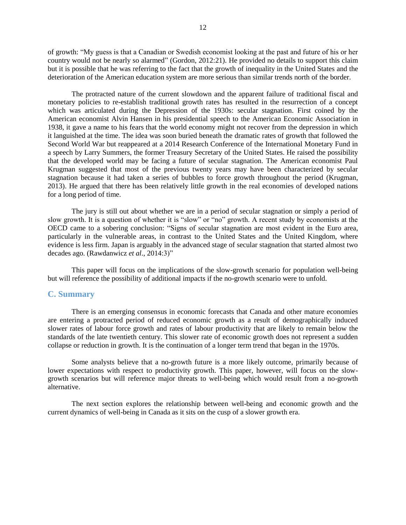of growth: "My guess is that a Canadian or Swedish economist looking at the past and future of his or her country would not be nearly so alarmed" (Gordon, 2012:21). He provided no details to support this claim but it is possible that he was referring to the fact that the growth of inequality in the United States and the deterioration of the American education system are more serious than similar trends north of the border.

The protracted nature of the current slowdown and the apparent failure of traditional fiscal and monetary policies to re-establish traditional growth rates has resulted in the resurrection of a concept which was articulated during the Depression of the 1930s: secular stagnation. First coined by the American economist Alvin Hansen in his presidential speech to the American Economic Association in 1938, it gave a name to his fears that the world economy might not recover from the depression in which it languished at the time. The idea was soon buried beneath the dramatic rates of growth that followed the Second World War but reappeared at a 2014 Research Conference of the International Monetary Fund in a speech by Larry Summers, the former Treasury Secretary of the United States. He raised the possibility that the developed world may be facing a future of secular stagnation. The American economist Paul Krugman suggested that most of the previous twenty years may have been characterized by secular stagnation because it had taken a series of bubbles to force growth throughout the period (Krugman, 2013). He argued that there has been relatively little growth in the real economies of developed nations for a long period of time.

The jury is still out about whether we are in a period of secular stagnation or simply a period of slow growth. It is a question of whether it is "slow" or "no" growth. A recent study by economists at the OECD came to a sobering conclusion: "Signs of secular stagnation are most evident in the Euro area, particularly in the vulnerable areas, in contrast to the United States and the United Kingdom, where evidence is less firm. Japan is arguably in the advanced stage of secular stagnation that started almost two decades ago. (Rawdanwicz *et al*., 2014:3)"

This paper will focus on the implications of the slow-growth scenario for population well-being but will reference the possibility of additional impacts if the no-growth scenario were to unfold.

#### <span id="page-11-0"></span>**C. Summary**

There is an emerging consensus in economic forecasts that Canada and other mature economies are entering a protracted period of reduced economic growth as a result of demographically induced slower rates of labour force growth and rates of labour productivity that are likely to remain below the standards of the late twentieth century. This slower rate of economic growth does not represent a sudden collapse or reduction in growth. It is the continuation of a longer term trend that began in the 1970s.

Some analysts believe that a no-growth future is a more likely outcome, primarily because of lower expectations with respect to productivity growth. This paper, however, will focus on the slowgrowth scenarios but will reference major threats to well-being which would result from a no-growth alternative.

The next section explores the relationship between well-being and economic growth and the current dynamics of well-being in Canada as it sits on the cusp of a slower growth era.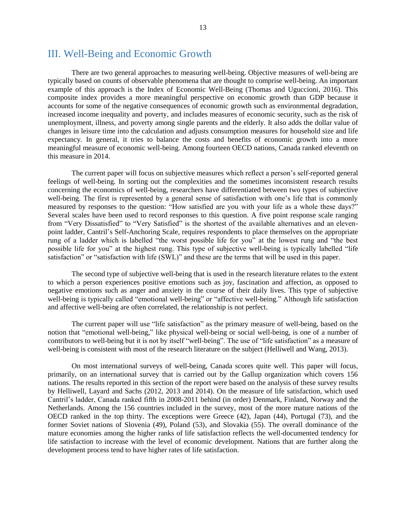## <span id="page-12-0"></span>III. Well-Being and Economic Growth

There are two general approaches to measuring well-being. Objective measures of well-being are typically based on counts of observable phenomena that are thought to comprise well-being. An important example of this approach is the Index of Economic Well-Being (Thomas and Uguccioni, 2016). This composite index provides a more meaningful perspective on economic growth than GDP because it accounts for some of the negative consequences of economic growth such as environmental degradation, increased income inequality and poverty, and includes measures of economic security, such as the risk of unemployment, illness, and poverty among single parents and the elderly. It also adds the dollar value of changes in leisure time into the calculation and adjusts consumption measures for household size and life expectancy. In general, it tries to balance the costs and benefits of economic growth into a more meaningful measure of economic well-being. Among fourteen OECD nations, Canada ranked eleventh on this measure in 2014.

The current paper will focus on subjective measures which reflect a person's self-reported general feelings of well-being. In sorting out the complexities and the sometimes inconsistent research results concerning the economics of well-being, researchers have differentiated between two types of subjective well-being. The first is represented by a general sense of satisfaction with one's life that is commonly measured by responses to the question: "How satisfied are you with your life as a whole these days?" Several scales have been used to record responses to this question. A five point response scale ranging from "Very Dissatisfied" to "Very Satisfied" is the shortest of the available alternatives and an elevenpoint ladder, Cantril's Self-Anchoring Scale, requires respondents to place themselves on the appropriate rung of a ladder which is labelled "the worst possible life for you" at the lowest rung and "the best possible life for you" at the highest rung. This type of subjective well-being is typically labelled "life satisfaction" or "satisfaction with life (SWL)" and these are the terms that will be used in this paper.

The second type of subjective well-being that is used in the research literature relates to the extent to which a person experiences positive emotions such as joy, fascination and affection, as opposed to negative emotions such as anger and anxiety in the course of their daily lives. This type of subjective well-being is typically called "emotional well-being" or "affective well-being." Although life satisfaction and affective well-being are often correlated, the relationship is not perfect.

The current paper will use "life satisfaction" as the primary measure of well-being, based on the notion that "emotional well-being," like physical well-being or social well-being, is one of a number of contributors to well-being but it is not by itself "well-being". The use of "life satisfaction" as a measure of well-being is consistent with most of the research literature on the subject (Helliwell and Wang, 2013).

On most international surveys of well-being, Canada scores quite well. This paper will focus, primarily, on an international survey that is carried out by the Gallup organization which covers 156 nations. The results reported in this section of the report were based on the analysis of these survey results by Helliwell, Layard and Sachs (2012, 2013 and 2014). On the measure of life satisfaction, which used Cantril's ladder, Canada ranked fifth in 2008-2011 behind (in order) Denmark, Finland, Norway and the Netherlands. Among the 156 countries included in the survey, most of the more mature nations of the OECD ranked in the top thirty. The exceptions were Greece (42), Japan (44), Portugal (73), and the former Soviet nations of Slovenia (49), Poland (53), and Slovakia (55). The overall dominance of the mature economies among the higher ranks of life satisfaction reflects the well-documented tendency for life satisfaction to increase with the level of economic development. Nations that are further along the development process tend to have higher rates of life satisfaction.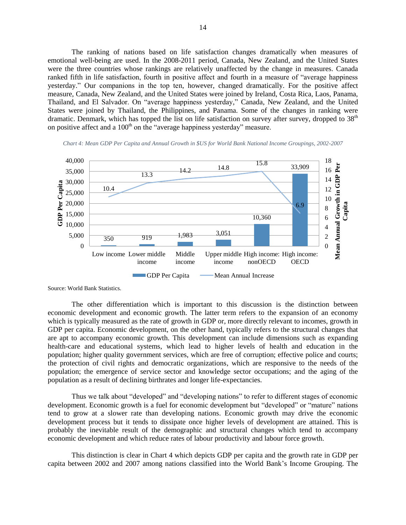The ranking of nations based on life satisfaction changes dramatically when measures of emotional well-being are used. In the 2008-2011 period, Canada, New Zealand, and the United States were the three countries whose rankings are relatively unaffected by the change in measures. Canada ranked fifth in life satisfaction, fourth in positive affect and fourth in a measure of "average happiness yesterday." Our companions in the top ten, however, changed dramatically. For the positive affect measure, Canada, New Zealand, and the United States were joined by Ireland, Costa Rica, Laos, Panama, Thailand, and El Salvador. On "average happiness yesterday," Canada, New Zealand, and the United States were joined by Thailand, the Philippines, and Panama. Some of the changes in ranking were dramatic. Denmark, which has topped the list on life satisfaction on survey after survey, dropped to  $38<sup>th</sup>$ on positive affect and a  $100<sup>th</sup>$  on the "average happiness yesterday" measure.



*Chart 4: Mean GDP Per Capita and Annual Growth in \$US for World Bank National Income Groupings, 2002-2007*

Source: World Bank Statistics.

The other differentiation which is important to this discussion is the distinction between economic development and economic growth. The latter term refers to the expansion of an economy which is typically measured as the rate of growth in GDP or, more directly relevant to incomes, growth in GDP per capita. Economic development, on the other hand, typically refers to the structural changes that are apt to accompany economic growth. This development can include dimensions such as expanding health-care and educational systems, which lead to higher levels of health and education in the population; higher quality government services, which are free of corruption; effective police and courts; the protection of civil rights and democratic organizations, which are responsive to the needs of the population; the emergence of service sector and knowledge sector occupations; and the aging of the population as a result of declining birthrates and longer life-expectancies.

Thus we talk about "developed" and "developing nations" to refer to different stages of economic development. Economic growth is a fuel for economic development but "developed" or "mature" nations tend to grow at a slower rate than developing nations. Economic growth may drive the economic development process but it tends to dissipate once higher levels of development are attained. This is probably the inevitable result of the demographic and structural changes which tend to accompany economic development and which reduce rates of labour productivity and labour force growth.

This distinction is clear in Chart 4 which depicts GDP per capita and the growth rate in GDP per capita between 2002 and 2007 among nations classified into the World Bank's Income Grouping. The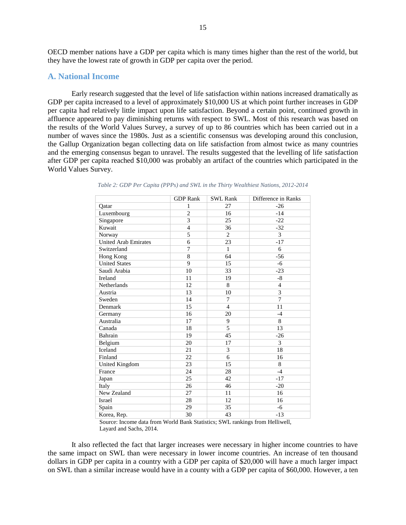OECD member nations have a GDP per capita which is many times higher than the rest of the world, but they have the lowest rate of growth in GDP per capita over the period.

#### <span id="page-14-0"></span>**A. National Income**

Early research suggested that the level of life satisfaction within nations increased dramatically as GDP per capita increased to a level of approximately \$10,000 US at which point further increases in GDP per capita had relatively little impact upon life satisfaction. Beyond a certain point, continued growth in affluence appeared to pay diminishing returns with respect to SWL. Most of this research was based on the results of the World Values Survey, a survey of up to 86 countries which has been carried out in a number of waves since the 1980s. Just as a scientific consensus was developing around this conclusion, the Gallup Organization began collecting data on life satisfaction from almost twice as many countries and the emerging consensus began to unravel. The results suggested that the levelling of life satisfaction after GDP per capita reached \$10,000 was probably an artifact of the countries which participated in the World Values Survey.

|                             | <b>GDP</b> Rank | <b>SWL Rank</b> | Difference in Ranks |
|-----------------------------|-----------------|-----------------|---------------------|
| Qatar                       | 1               | 27              | $-26$               |
| Luxembourg                  | $\overline{2}$  | 16              | $-14$               |
| Singapore                   | 3               | 25              | $-22$               |
| Kuwait                      | $\overline{4}$  | 36              | $-32$               |
| Norway                      | 5               | $\overline{c}$  | 3                   |
| <b>United Arab Emirates</b> | 6               | 23              | $-17$               |
| Switzerland                 | 7               | $\mathbf{1}$    | 6                   |
| Hong Kong                   | 8               | 64              | $-56$               |
| <b>United States</b>        | 9               | 15              | $-6$                |
| Saudi Arabia                | 10              | 33              | $-23$               |
| Ireland                     | 11              | 19              | $-8$                |
| Netherlands                 | 12              | 8               | $\overline{4}$      |
| Austria                     | 13              | 10              | 3                   |
| Sweden                      | 14              | 7               | 7                   |
| Denmark                     | 15              | 4               | 11                  |
| Germany                     | 16              | 20              | $-4$                |
| Australia                   | 17              | 9               | 8                   |
| Canada                      | 18              | 5               | 13                  |
| Bahrain                     | 19              | 45              | $-26$               |
| Belgium                     | 20              | 17              | 3                   |
| Iceland                     | 21              | 3               | 18                  |
| Finland                     | 22              | 6               | 16                  |
| United Kingdom              | 23              | 15              | 8                   |
| France                      | 24              | 28              | $-4$                |
| Japan                       | 25              | 42              | $-17$               |
| Italy                       | 26              | 46              | $-20$               |
| New Zealand                 | 27              | 11              | 16                  |
| Israel                      | 28              | 12              | 16                  |
| Spain                       | 29              | 35              | $-6$                |
| Korea, Rep.                 | 30              | 43              | $-13$               |

| Table 2: GDP Per Capita (PPPs) and SWL in the Thirty Wealthiest Nations, 2012-2014 |
|------------------------------------------------------------------------------------|
|------------------------------------------------------------------------------------|

Source: Income data from World Bank Statistics; SWL rankings from Helliwell, Layard and Sachs, 2014.

It also reflected the fact that larger increases were necessary in higher income countries to have the same impact on SWL than were necessary in lower income countries. An increase of ten thousand dollars in GDP per capita in a country with a GDP per capita of \$20,000 will have a much larger impact on SWL than a similar increase would have in a county with a GDP per capita of \$60,000. However, a ten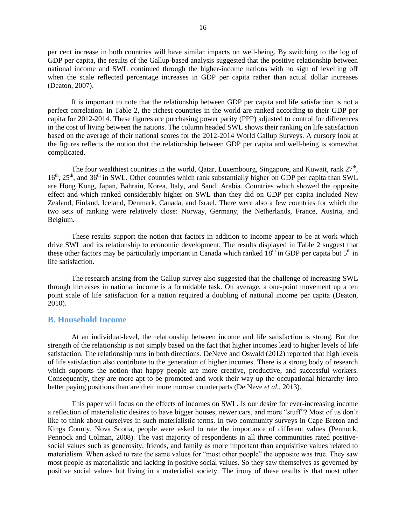per cent increase in both countries will have similar impacts on well-being. By switching to the log of GDP per capita, the results of the Gallup-based analysis suggested that the positive relationship between national income and SWL continued through the higher-income nations with no sign of levelling off when the scale reflected percentage increases in GDP per capita rather than actual dollar increases (Deaton, 2007).

It is important to note that the relationship between GDP per capita and life satisfaction is not a perfect correlation. In Table 2, the richest countries in the world are ranked according to their GDP per capita for 2012-2014. These figures are purchasing power parity (PPP) adjusted to control for differences in the cost of living between the nations. The column headed SWL shows their ranking on life satisfaction based on the average of their national scores for the 2012-2014 World Gallup Surveys. A cursory look at the figures reflects the notion that the relationship between GDP per capita and well-being is somewhat complicated.

The four wealthiest countries in the world, Qatar, Luxembourg, Singapore, and Kuwait, rank  $27<sup>th</sup>$ , 16<sup>th</sup>, 25<sup>th</sup>, and 36<sup>th</sup> in SWL. Other countries which rank substantially higher on GDP per capita than SWL are Hong Kong, Japan, Bahrain, Korea, Italy, and Saudi Arabia. Countries which showed the opposite effect and which ranked considerably higher on SWL than they did on GDP per capita included New Zealand, Finland, Iceland, Denmark, Canada, and Israel. There were also a few countries for which the two sets of ranking were relatively close: Norway, Germany, the Netherlands, France, Austria, and Belgium.

These results support the notion that factors in addition to income appear to be at work which drive SWL and its relationship to economic development. The results displayed in Table 2 suggest that these other factors may be particularly important in Canada which ranked  $18<sup>th</sup>$  in GDP per capita but  $5<sup>th</sup>$  in life satisfaction.

The research arising from the Gallup survey also suggested that the challenge of increasing SWL through increases in national income is a formidable task. On average, a one-point movement up a ten point scale of life satisfaction for a nation required a doubling of national income per capita (Deaton, 2010).

#### <span id="page-15-0"></span>**B. Household Income**

At an individual-level, the relationship between income and life satisfaction is strong. But the strength of the relationship is not simply based on the fact that higher incomes lead to higher levels of life satisfaction. The relationship runs in both directions. DeNeve and Oswald (2012) reported that high levels of life satisfaction also contribute to the generation of higher incomes. There is a strong body of research which supports the notion that happy people are more creative, productive, and successful workers. Consequently, they are more apt to be promoted and work their way up the occupational hierarchy into better paying positions than are their more morose counterparts (De Neve *et al*., 2013).

This paper will focus on the effects of incomes on SWL. Is our desire for ever-increasing income a reflection of materialistic desires to have bigger houses, newer cars, and more "stuff"? Most of us don't like to think about ourselves in such materialistic terms. In two community surveys in Cape Breton and Kings County, Nova Scotia, people were asked to rate the importance of different values (Pennock, Pennock and Colman, 2008). The vast majority of respondents in all three communities rated positivesocial values such as generosity, friends, and family as more important than acquisitive values related to materialism. When asked to rate the same values for "most other people" the opposite was true. They saw most people as materialistic and lacking in positive social values. So they saw themselves as governed by positive social values but living in a materialist society. The irony of these results is that most other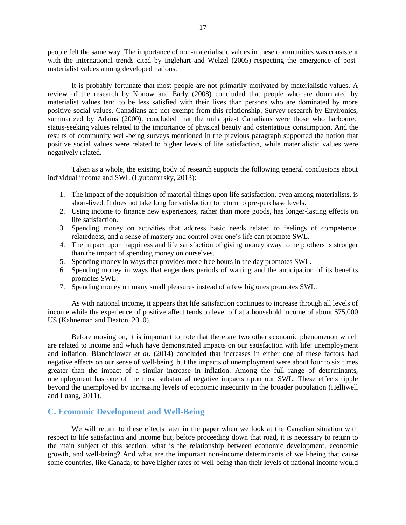people felt the same way. The importance of non-materialistic values in these communities was consistent with the international trends cited by Inglehart and Welzel (2005) respecting the emergence of postmaterialist values among developed nations.

It is probably fortunate that most people are not primarily motivated by materialistic values. A review of the research by Konow and Early (2008) concluded that people who are dominated by materialist values tend to be less satisfied with their lives than persons who are dominated by more positive social values. Canadians are not exempt from this relationship. Survey research by Environics, summarized by Adams (2000), concluded that the unhappiest Canadians were those who harboured status-seeking values related to the importance of physical beauty and ostentatious consumption. And the results of community well-being surveys mentioned in the previous paragraph supported the notion that positive social values were related to higher levels of life satisfaction, while materialistic values were negatively related.

Taken as a whole, the existing body of research supports the following general conclusions about individual income and SWL (Lyubomirsky, 2013):

- 1. The impact of the acquisition of material things upon life satisfaction, even among materialists, is short-lived. It does not take long for satisfaction to return to pre-purchase levels.
- 2. Using income to finance new experiences, rather than more goods, has longer-lasting effects on life satisfaction.
- 3. Spending money on activities that address basic needs related to feelings of competence, relatedness, and a sense of mastery and control over one's life can promote SWL.
- 4. The impact upon happiness and life satisfaction of giving money away to help others is stronger than the impact of spending money on ourselves.
- 5. Spending money in ways that provides more free hours in the day promotes SWL.
- 6. Spending money in ways that engenders periods of waiting and the anticipation of its benefits promotes SWL.
- 7. Spending money on many small pleasures instead of a few big ones promotes SWL.

As with national income, it appears that life satisfaction continues to increase through all levels of income while the experience of positive affect tends to level off at a household income of about \$75,000 US (Kahneman and Deaton, 2010).

Before moving on, it is important to note that there are two other economic phenomenon which are related to income and which have demonstrated impacts on our satisfaction with life: unemployment and inflation. Blanchflower *et al*. (2014) concluded that increases in either one of these factors had negative effects on our sense of well-being, but the impacts of unemployment were about four to six times greater than the impact of a similar increase in inflation. Among the full range of determinants, unemployment has one of the most substantial negative impacts upon our SWL. These effects ripple beyond the unemployed by increasing levels of economic insecurity in the broader population (Helliwell and Luang, 2011).

#### <span id="page-16-0"></span>**C. Economic Development and Well-Being**

We will return to these effects later in the paper when we look at the Canadian situation with respect to life satisfaction and income but, before proceeding down that road, it is necessary to return to the main subject of this section: what is the relationship between economic development, economic growth, and well-being? And what are the important non-income determinants of well-being that cause some countries, like Canada, to have higher rates of well-being than their levels of national income would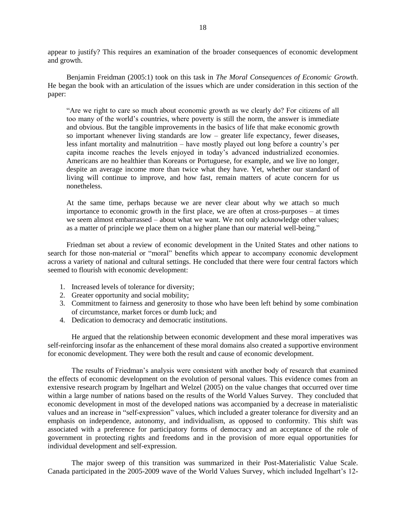appear to justify? This requires an examination of the broader consequences of economic development and growth.

Benjamin Freidman (2005:1) took on this task in *The Moral Consequences of Economic Growth*. He began the book with an articulation of the issues which are under consideration in this section of the paper:

"Are we right to care so much about economic growth as we clearly do? For citizens of all too many of the world's countries, where poverty is still the norm, the answer is immediate and obvious. But the tangible improvements in the basics of life that make economic growth so important whenever living standards are low – greater life expectancy, fewer diseases, less infant mortality and malnutrition – have mostly played out long before a country's per capita income reaches the levels enjoyed in today's advanced industrialized economies. Americans are no healthier than Koreans or Portuguese, for example, and we live no longer, despite an average income more than twice what they have. Yet, whether our standard of living will continue to improve, and how fast, remain matters of acute concern for us nonetheless.

At the same time, perhaps because we are never clear about why we attach so much importance to economic growth in the first place, we are often at cross-purposes – at times we seem almost embarrassed – about what we want. We not only acknowledge other values; as a matter of principle we place them on a higher plane than our material well-being."

Friedman set about a review of economic development in the United States and other nations to search for those non-material or "moral" benefits which appear to accompany economic development across a variety of national and cultural settings. He concluded that there were four central factors which seemed to flourish with economic development:

- 1. Increased levels of tolerance for diversity;
- 2. Greater opportunity and social mobility;
- 3. Commitment to fairness and generosity to those who have been left behind by some combination of circumstance, market forces or dumb luck; and
- 4. Dedication to democracy and democratic institutions.

He argued that the relationship between economic development and these moral imperatives was self-reinforcing insofar as the enhancement of these moral domains also created a supportive environment for economic development. They were both the result and cause of economic development.

The results of Friedman's analysis were consistent with another body of research that examined the effects of economic development on the evolution of personal values. This evidence comes from an extensive research program by Ingelhart and Welzel (2005) on the value changes that occurred over time within a large number of nations based on the results of the World Values Survey. They concluded that economic development in most of the developed nations was accompanied by a decrease in materialistic values and an increase in "self-expression" values, which included a greater tolerance for diversity and an emphasis on independence, autonomy, and individualism, as opposed to conformity. This shift was associated with a preference for participatory forms of democracy and an acceptance of the role of government in protecting rights and freedoms and in the provision of more equal opportunities for individual development and self-expression.

The major sweep of this transition was summarized in their Post-Materialistic Value Scale. Canada participated in the 2005-2009 wave of the World Values Survey, which included Ingelhart's 12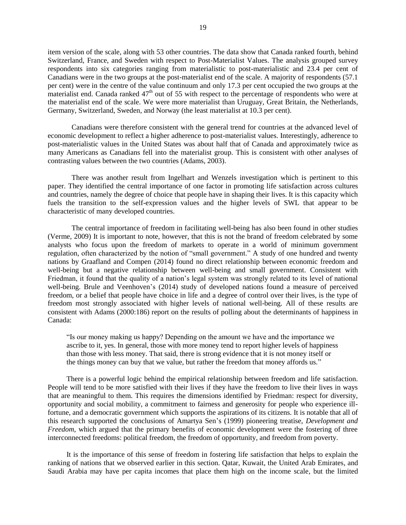item version of the scale, along with 53 other countries. The data show that Canada ranked fourth, behind Switzerland, France, and Sweden with respect to Post-Materialist Values. The analysis grouped survey respondents into six categories ranging from materialistic to post-materialistic and 23.4 per cent of Canadians were in the two groups at the post-materialist end of the scale. A majority of respondents (57.1 per cent) were in the centre of the value continuum and only 17.3 per cent occupied the two groups at the materialist end. Canada ranked  $47<sup>th</sup>$  out of 55 with respect to the percentage of respondents who were at the materialist end of the scale. We were more materialist than Uruguay, Great Britain, the Netherlands, Germany, Switzerland, Sweden, and Norway (the least materialist at 10.3 per cent).

Canadians were therefore consistent with the general trend for countries at the advanced level of economic development to reflect a higher adherence to post-materialist values. Interestingly, adherence to post-materialistic values in the United States was about half that of Canada and approximately twice as many Americans as Canadians fell into the materialist group. This is consistent with other analyses of contrasting values between the two countries (Adams, 2003).

There was another result from Ingelhart and Wenzels investigation which is pertinent to this paper. They identified the central importance of one factor in promoting life satisfaction across cultures and countries, namely the degree of choice that people have in shaping their lives. It is this capacity which fuels the transition to the self-expression values and the higher levels of SWL that appear to be characteristic of many developed countries.

The central importance of freedom in facilitating well-being has also been found in other studies (Verme, 2009) It is important to note, however, that this is not the brand of freedom celebrated by some analysts who focus upon the freedom of markets to operate in a world of minimum government regulation, often characterized by the notion of "small government." A study of one hundred and twenty nations by Graafland and Compen (2014) found no direct relationship between economic freedom and well-being but a negative relationship between well-being and small government. Consistent with Friedman, it found that the quality of a nation's legal system was strongly related to its level of national well-being. Brule and Veenhoven's (2014) study of developed nations found a measure of perceived freedom, or a belief that people have choice in life and a degree of control over their lives, is the type of freedom most strongly associated with higher levels of national well-being. All of these results are consistent with Adams (2000:186) report on the results of polling about the determinants of happiness in Canada:

"Is our money making us happy? Depending on the amount we have and the importance we ascribe to it, yes. In general, those with more money tend to report higher levels of happiness than those with less money. That said, there is strong evidence that it is not money itself or the things money can buy that we value, but rather the freedom that money affords us."

There is a powerful logic behind the empirical relationship between freedom and life satisfaction. People will tend to be more satisfied with their lives if they have the freedom to live their lives in ways that are meaningful to them. This requires the dimensions identified by Friedman: respect for diversity, opportunity and social mobility, a commitment to fairness and generosity for people who experience illfortune, and a democratic government which supports the aspirations of its citizens. It is notable that all of this research supported the conclusions of Amartya Sen's (1999) pioneering treatise, *Development and Freedom*, which argued that the primary benefits of economic development were the fostering of three interconnected freedoms: political freedom, the freedom of opportunity, and freedom from poverty.

It is the importance of this sense of freedom in fostering life satisfaction that helps to explain the ranking of nations that we observed earlier in this section. Qatar, Kuwait, the United Arab Emirates, and Saudi Arabia may have per capita incomes that place them high on the income scale, but the limited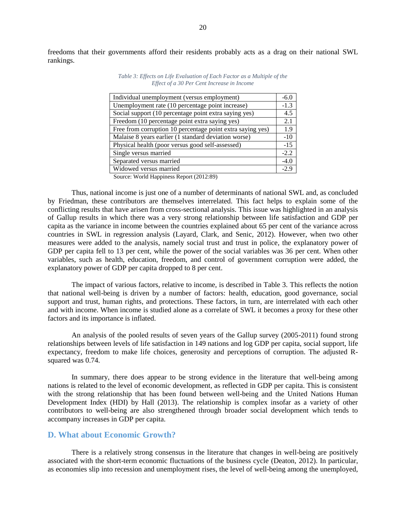freedoms that their governments afford their residents probably acts as a drag on their national SWL rankings.

| Individual unemployment (versus employment)                                                                                                                                                                                                                                                                                        | $-6.0$ |
|------------------------------------------------------------------------------------------------------------------------------------------------------------------------------------------------------------------------------------------------------------------------------------------------------------------------------------|--------|
| Unemployment rate (10 percentage point increase)                                                                                                                                                                                                                                                                                   | $-1.3$ |
| Social support (10 percentage point extra saying yes)                                                                                                                                                                                                                                                                              | 4.5    |
| Freedom (10 percentage point extra saying yes)                                                                                                                                                                                                                                                                                     | 2.1    |
| Free from corruption 10 percentage point extra saying yes)                                                                                                                                                                                                                                                                         | 1.9    |
| Malaise 8 years earlier (1 standard deviation worse)                                                                                                                                                                                                                                                                               | $-10$  |
| Physical health (poor versus good self-assessed)                                                                                                                                                                                                                                                                                   | $-15$  |
| Single versus married                                                                                                                                                                                                                                                                                                              | $-2.2$ |
| Separated versus married                                                                                                                                                                                                                                                                                                           | $-4.0$ |
| Widowed versus married                                                                                                                                                                                                                                                                                                             | $-2.9$ |
| $\alpha$ $\mathbf{W}$ 11H $\mathbf{H}$ $\mathbf{R}$ $\mathbf{R}$ $\mathbf{R}$ $\mathbf{R}$ $\mathbf{R}$ $\mathbf{R}$ $\mathbf{R}$ $\mathbf{R}$ $\mathbf{R}$ $\mathbf{R}$ $\mathbf{R}$ $\mathbf{R}$ $\mathbf{R}$ $\mathbf{R}$ $\mathbf{R}$ $\mathbf{R}$ $\mathbf{R}$ $\mathbf{R}$ $\mathbf{R}$ $\mathbf{R}$ $\mathbf{R}$ $\mathbf{$ |        |

*Table 3: Effects on Life Evaluation of Each Factor as a Multiple of the Effect of a 30 Per Cent Increase in Income*

Source: World Happiness Report (2012:89)

Thus, national income is just one of a number of determinants of national SWL and, as concluded by Friedman, these contributors are themselves interrelated. This fact helps to explain some of the conflicting results that have arisen from cross-sectional analysis. This issue was highlighted in an analysis of Gallup results in which there was a very strong relationship between life satisfaction and GDP per capita as the variance in income between the countries explained about 65 per cent of the variance across countries in SWL in regression analysis (Layard, Clark, and Senic, 2012). However, when two other measures were added to the analysis, namely social trust and trust in police, the explanatory power of GDP per capita fell to 13 per cent, while the power of the social variables was 36 per cent. When other variables, such as health, education, freedom, and control of government corruption were added, the explanatory power of GDP per capita dropped to 8 per cent.

The impact of various factors, relative to income, is described in Table 3. This reflects the notion that national well-being is driven by a number of factors: health, education, good governance, social support and trust, human rights, and protections. These factors, in turn, are interrelated with each other and with income. When income is studied alone as a correlate of SWL it becomes a proxy for these other factors and its importance is inflated.

An analysis of the pooled results of seven years of the Gallup survey (2005-2011) found strong relationships between levels of life satisfaction in 149 nations and log GDP per capita, social support, life expectancy, freedom to make life choices, generosity and perceptions of corruption. The adjusted Rsquared was 0.74.

In summary, there does appear to be strong evidence in the literature that well-being among nations is related to the level of economic development, as reflected in GDP per capita. This is consistent with the strong relationship that has been found between well-being and the United Nations Human Development Index (HDI) by Hall (2013). The relationship is complex insofar as a variety of other contributors to well-being are also strengthened through broader social development which tends to accompany increases in GDP per capita.

#### <span id="page-19-0"></span>**D. What about Economic Growth?**

There is a relatively strong consensus in the literature that changes in well-being are positively associated with the short-term economic fluctuations of the business cycle (Deaton, 2012). In particular, as economies slip into recession and unemployment rises, the level of well-being among the unemployed,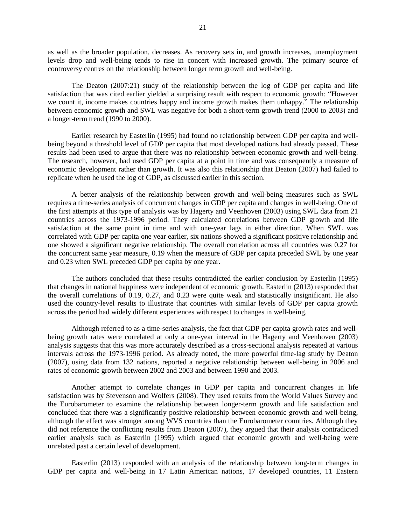as well as the broader population, decreases. As recovery sets in, and growth increases, unemployment levels drop and well-being tends to rise in concert with increased growth. The primary source of controversy centres on the relationship between longer term growth and well-being.

The Deaton (2007:21) study of the relationship between the log of GDP per capita and life satisfaction that was cited earlier yielded a surprising result with respect to economic growth: "However we count it, income makes countries happy and income growth makes them unhappy." The relationship between economic growth and SWL was negative for both a short-term growth trend (2000 to 2003) and a longer-term trend (1990 to 2000).

Earlier research by Easterlin (1995) had found no relationship between GDP per capita and wellbeing beyond a threshold level of GDP per capita that most developed nations had already passed. These results had been used to argue that there was no relationship between economic growth and well-being. The research, however, had used GDP per capita at a point in time and was consequently a measure of economic development rather than growth. It was also this relationship that Deaton (2007) had failed to replicate when he used the log of GDP, as discussed earlier in this section.

A better analysis of the relationship between growth and well-being measures such as SWL requires a time-series analysis of concurrent changes in GDP per capita and changes in well-being. One of the first attempts at this type of analysis was by Hagerty and Veenhoven (2003) using SWL data from 21 countries across the 1973-1996 period. They calculated correlations between GDP growth and life satisfaction at the same point in time and with one-year lags in either direction. When SWL was correlated with GDP per capita one year earlier, six nations showed a significant positive relationship and one showed a significant negative relationship. The overall correlation across all countries was 0.27 for the concurrent same year measure, 0.19 when the measure of GDP per capita preceded SWL by one year and 0.23 when SWL preceded GDP per capita by one year.

The authors concluded that these results contradicted the earlier conclusion by Easterlin (1995) that changes in national happiness were independent of economic growth. Easterlin (2013) responded that the overall correlations of 0.19, 0.27, and 0.23 were quite weak and statistically insignificant. He also used the country-level results to illustrate that countries with similar levels of GDP per capita growth across the period had widely different experiences with respect to changes in well-being.

Although referred to as a time-series analysis, the fact that GDP per capita growth rates and wellbeing growth rates were correlated at only a one-year interval in the Hagerty and Veenhoven (2003) analysis suggests that this was more accurately described as a cross-sectional analysis repeated at various intervals across the 1973-1996 period. As already noted, the more powerful time-lag study by Deaton (2007), using data from 132 nations, reported a negative relationship between well-being in 2006 and rates of economic growth between 2002 and 2003 and between 1990 and 2003.

Another attempt to correlate changes in GDP per capita and concurrent changes in life satisfaction was by Stevenson and Wolfers (2008). They used results from the World Values Survey and the Eurobarometer to examine the relationship between longer-term growth and life satisfaction and concluded that there was a significantly positive relationship between economic growth and well-being, although the effect was stronger among WVS countries than the Eurobarometer countries. Although they did not reference the conflicting results from Deaton (2007), they argued that their analysis contradicted earlier analysis such as Easterlin (1995) which argued that economic growth and well-being were unrelated past a certain level of development.

Easterlin (2013) responded with an analysis of the relationship between long-term changes in GDP per capita and well-being in 17 Latin American nations, 17 developed countries, 11 Eastern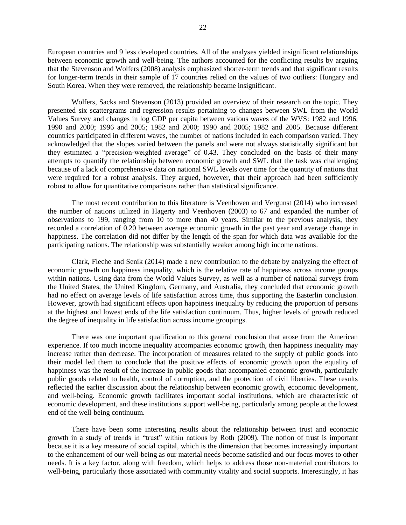European countries and 9 less developed countries. All of the analyses yielded insignificant relationships between economic growth and well-being. The authors accounted for the conflicting results by arguing that the Stevenson and Wolfers (2008) analysis emphasized shorter-term trends and that significant results for longer-term trends in their sample of 17 countries relied on the values of two outliers: Hungary and South Korea. When they were removed, the relationship became insignificant.

Wolfers, Sacks and Stevenson (2013) provided an overview of their research on the topic. They presented six scattergrams and regression results pertaining to changes between SWL from the World Values Survey and changes in log GDP per capita between various waves of the WVS: 1982 and 1996; 1990 and 2000; 1996 and 2005; 1982 and 2000; 1990 and 2005; 1982 and 2005. Because different countries participated in different waves, the number of nations included in each comparison varied. They acknowledged that the slopes varied between the panels and were not always statistically significant but they estimated a "precision-weighted average" of 0.43. They concluded on the basis of their many attempts to quantify the relationship between economic growth and SWL that the task was challenging because of a lack of comprehensive data on national SWL levels over time for the quantity of nations that were required for a robust analysis. They argued, however, that their approach had been sufficiently robust to allow for quantitative comparisons rather than statistical significance.

The most recent contribution to this literature is Veenhoven and Vergunst (2014) who increased the number of nations utilized in Hagerty and Veenhoven (2003) to 67 and expanded the number of observations to 199, ranging from 10 to more than 40 years. Similar to the previous analysis, they recorded a correlation of 0.20 between average economic growth in the past year and average change in happiness. The correlation did not differ by the length of the span for which data was available for the participating nations. The relationship was substantially weaker among high income nations.

Clark, Fleche and Senik (2014) made a new contribution to the debate by analyzing the effect of economic growth on happiness inequality, which is the relative rate of happiness across income groups within nations. Using data from the World Values Survey, as well as a number of national surveys from the United States, the United Kingdom, Germany, and Australia, they concluded that economic growth had no effect on average levels of life satisfaction across time, thus supporting the Easterlin conclusion. However, growth had significant effects upon happiness inequality by reducing the proportion of persons at the highest and lowest ends of the life satisfaction continuum. Thus, higher levels of growth reduced the degree of inequality in life satisfaction across income groupings.

There was one important qualification to this general conclusion that arose from the American experience. If too much income inequality accompanies economic growth, then happiness inequality may increase rather than decrease. The incorporation of measures related to the supply of public goods into their model led them to conclude that the positive effects of economic growth upon the equality of happiness was the result of the increase in public goods that accompanied economic growth, particularly public goods related to health, control of corruption, and the protection of civil liberties. These results reflected the earlier discussion about the relationship between economic growth, economic development, and well-being. Economic growth facilitates important social institutions, which are characteristic of economic development, and these institutions support well-being, particularly among people at the lowest end of the well-being continuum.

There have been some interesting results about the relationship between trust and economic growth in a study of trends in "trust" within nations by Roth (2009). The notion of trust is important because it is a key measure of social capital, which is the dimension that becomes increasingly important to the enhancement of our well-being as our material needs become satisfied and our focus moves to other needs. It is a key factor, along with freedom, which helps to address those non-material contributors to well-being, particularly those associated with community vitality and social supports. Interestingly, it has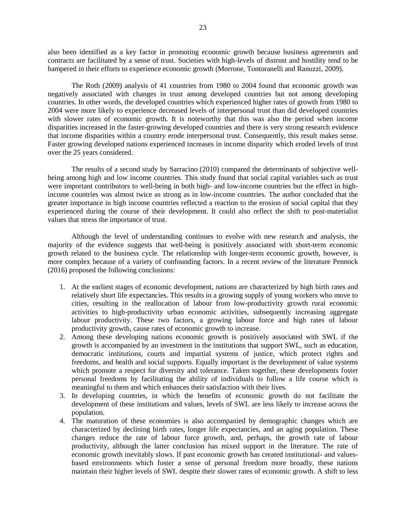also been identified as a key factor in promoting economic growth because business agreements and contracts are facilitated by a sense of trust. Societies with high-levels of distrust and hostility tend to be hampered in their efforts to experience economic growth (Morrone, Tontoranelli and Ranuzzi, 2009).

The Roth (2009) analysis of 41 countries from 1980 to 2004 found that economic growth was negatively associated with changes in trust among developed countries but not among developing countries. In other words, the developed countries which experienced higher rates of growth from 1980 to 2004 were more likely to experience decreased levels of interpersonal trust than did developed countries with slower rates of economic growth. It is noteworthy that this was also the period when income disparities increased in the faster-growing developed countries and there is very strong research evidence that income disparities within a country erode interpersonal trust. Consequently, this result makes sense. Faster growing developed nations experienced increases in income disparity which eroded levels of trust over the 25 years considered.

The results of a second study by Sarracino (2010) compared the determinants of subjective wellbeing among high and low income countries. This study found that social capital variables such as trust were important contributors to well-being in both high- and low-income countries but the effect in highincome countries was almost twice as strong as in low-income countries. The author concluded that the greater importance in high income countries reflected a reaction to the erosion of social capital that they experienced during the course of their development. It could also reflect the shift to post-materialist values that stress the importance of trust.

Although the level of understanding continues to evolve with new research and analysis, the majority of the evidence suggests that well-being is positively associated with short-term economic growth related to the business cycle. The relationship with longer-term economic growth, however, is more complex because of a variety of confounding factors. In a recent review of the literature Pennock (2016) proposed the following conclusions:

- 1. At the earliest stages of economic development, nations are characterized by high birth rates and relatively short life expectancies. This results in a growing supply of young workers who move to cities, resulting in the reallocation of labour from low-productivity growth rural economic activities to high-productivity urban economic activities, subsequently increasing aggregate labour productivity. These two factors, a growing labour force and high rates of labour productivity growth, cause rates of economic growth to increase.
- 2. Among these developing nations economic growth is positively associated with SWL if the growth is accompanied by an investment in the institutions that support SWL, such as education, democratic institutions, courts and impartial systems of justice, which protect rights and freedoms, and health and social supports. Equally important is the development of value systems which promote a respect for diversity and tolerance. Taken together, these developments foster personal freedoms by facilitating the ability of individuals to follow a life course which is meaningful to them and which enhances their satisfaction with their lives.
- 3. In developing countries, in which the benefits of economic growth do not facilitate the development of these institutions and values, levels of SWL are less likely to increase across the population.
- 4. The maturation of these economies is also accompanied by demographic changes which are characterized by declining birth rates, longer life expectancies, and an aging population. These changes reduce the rate of labour force growth, and, perhaps, the growth rate of labour productivity, although the latter conclusion has mixed support in the literature. The rate of economic growth inevitably slows. If past economic growth has created institutional- and valuesbased environments which foster a sense of personal freedom more broadly, these nations maintain their higher levels of SWL despite their slower rates of economic growth. A shift to less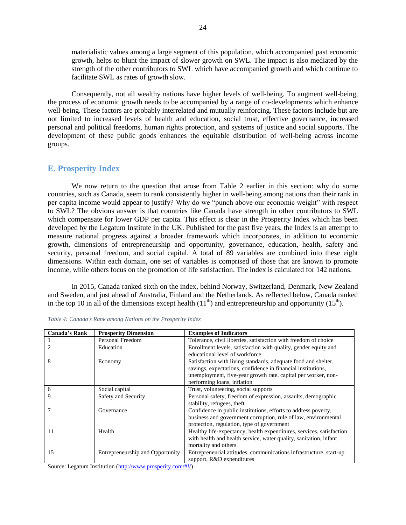materialistic values among a large segment of this population, which accompanied past economic growth, helps to blunt the impact of slower growth on SWL. The impact is also mediated by the strength of the other contributors to SWL which have accompanied growth and which continue to facilitate SWL as rates of growth slow.

Consequently, not all wealthy nations have higher levels of well-being. To augment well-being, the process of economic growth needs to be accompanied by a range of co-developments which enhance well-being. These factors are probably interrelated and mutually reinforcing. These factors include but are not limited to increased levels of health and education, social trust, effective governance, increased personal and political freedoms, human rights protection, and systems of justice and social supports. The development of these public goods enhances the equitable distribution of well-being across income groups.

#### <span id="page-23-0"></span>**E. Prosperity Index**

We now return to the question that arose from Table 2 earlier in this section: why do some countries, such as Canada, seem to rank consistently higher in well-being among nations than their rank in per capita income would appear to justify? Why do we "punch above our economic weight" with respect to SWL? The obvious answer is that countries like Canada have strength in other contributors to SWL which compensate for lower GDP per capita. This effect is clear in the Prosperity Index which has been developed by the Legatum Institute in the UK. Published for the past five years, the Index is an attempt to measure national progress against a broader framework which incorporates, in addition to economic growth, dimensions of entrepreneurship and opportunity, governance, education, health, safety and security, personal freedom, and social capital. A total of 89 variables are combined into these eight dimensions. Within each domain, one set of variables is comprised of those that are known to promote income, while others focus on the promotion of life satisfaction. The index is calculated for 142 nations.

In 2015, Canada ranked sixth on the index, behind Norway, Switzerland, Denmark, New Zealand and Sweden, and just ahead of Australia, Finland and the Netherlands. As reflected below, Canada ranked in the top 10 in all of the dimensions except health  $(11<sup>th</sup>)$  and entrepreneurship and opportunity  $(15<sup>th</sup>)$ .

| <b>Canada's Rank</b> | <b>Prosperity Dimension</b>                                             | <b>Examples of Indicators</b>                                                                                                                                                                                                  |
|----------------------|-------------------------------------------------------------------------|--------------------------------------------------------------------------------------------------------------------------------------------------------------------------------------------------------------------------------|
|                      | Personal Freedom                                                        | Tolerance, civil liberties, satisfaction with freedom of choice                                                                                                                                                                |
| $\mathfrak{D}$       | Education                                                               | Enrollment levels, satisfaction with quality, gender equity and<br>educational level of workforce                                                                                                                              |
| 8                    | Economy                                                                 | Satisfaction with living standards, adequate food and shelter,<br>savings, expectations, confidence in financial institutions,<br>unemployment, five-year growth rate, capital per worker, non-<br>performing loans, inflation |
| 6                    | Social capital                                                          | Trust, volunteering, social supports                                                                                                                                                                                           |
| 9                    | Safety and Security                                                     | Personal safety, freedom of expression, assaults, demographic<br>stability, refugees, theft                                                                                                                                    |
| $\tau$               | Governance                                                              | Confidence in public institutions, efforts to address poverty,<br>business and government corruption, rule of law, environmental<br>protection, regulation, type of government                                                 |
| 11                   | Health                                                                  | Healthy life-expectancy, health expenditures, services, satisfaction<br>with health and health service, water quality, sanitation, infant<br>mortality and others                                                              |
| 15                   | Entrepreneurship and Opportunity                                        | Entrepreneurial attitudes, communications infrastructure, start-up<br>support, R&D expenditures                                                                                                                                |
|                      | $S_{\text{oumon}}$ , Logatum Institution (kttp://www.prosporty.com/#10) |                                                                                                                                                                                                                                |

|  |  |  | Table 4: Canada's Rank among Nations on the Prosperity Index |  |
|--|--|--|--------------------------------------------------------------|--|
|  |  |  |                                                              |  |

Source: Legatum Institution [\(http://www.prosperity.com/#!/\)](http://www.prosperity.com/#!/)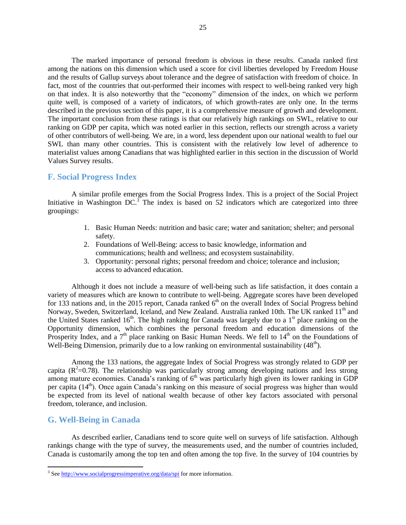The marked importance of personal freedom is obvious in these results. Canada ranked first among the nations on this dimension which used a score for civil liberties developed by Freedom House and the results of Gallup surveys about tolerance and the degree of satisfaction with freedom of choice. In fact, most of the countries that out-performed their incomes with respect to well-being ranked very high on that index. It is also noteworthy that the "economy" dimension of the index, on which we perform quite well, is composed of a variety of indicators, of which growth-rates are only one. In the terms described in the previous section of this paper, it is a comprehensive measure of growth and development. The important conclusion from these ratings is that our relatively high rankings on SWL, relative to our ranking on GDP per capita, which was noted earlier in this section, reflects our strength across a variety of other contributors of well-being. We are, in a word, less dependent upon our national wealth to fuel our SWL than many other countries. This is consistent with the relatively low level of adherence to materialist values among Canadians that was highlighted earlier in this section in the discussion of World Values Survey results.

#### <span id="page-24-0"></span>**F. Social Progress Index**

A similar profile emerges from the Social Progress Index. This is a project of the Social Project Initiative in Washington DC.<sup>3</sup> The index is based on 52 indicators which are categorized into three groupings:

- 1. Basic Human Needs: nutrition and basic care; water and sanitation; shelter; and personal safety.
- 2. Foundations of Well-Being: access to basic knowledge, information and communications; health and wellness; and ecosystem sustainability.
- 3. Opportunity: personal rights; personal freedom and choice; tolerance and inclusion; access to advanced education.

Although it does not include a measure of well-being such as life satisfaction, it does contain a variety of measures which are known to contribute to well-being. Aggregate scores have been developed for 133 nations and, in the 2015 report, Canada ranked  $6<sup>th</sup>$  on the overall Index of Social Progress behind Norway, Sweden, Switzerland, Iceland, and New Zealand, Australia ranked 10th. The UK ranked 11<sup>th</sup> and the United States ranked  $16<sup>th</sup>$ . The high ranking for Canada was largely due to a  $1<sup>st</sup>$  place ranking on the Opportunity dimension, which combines the personal freedom and education dimensions of the Prosperity Index, and a  $7<sup>th</sup>$  place ranking on Basic Human Needs. We fell to  $14<sup>th</sup>$  on the Foundations of Well-Being Dimension, primarily due to a low ranking on environmental sustainability  $(48<sup>th</sup>)$ .

Among the 133 nations, the aggregate Index of Social Progress was strongly related to GDP per capita  $(R^2=0.78)$ . The relationship was particularly strong among developing nations and less strong among mature economies. Canada's ranking of  $6<sup>th</sup>$  was particularly high given its lower ranking in GDP per capita (14<sup>th</sup>). Once again Canada's ranking on this measure of social progress was higher than would be expected from its level of national wealth because of other key factors associated with personal freedom, tolerance, and inclusion.

#### <span id="page-24-1"></span>**G. Well-Being in Canada**

As described earlier, Canadians tend to score quite well on surveys of life satisfaction. Although rankings change with the type of survey, the measurements used, and the number of countries included, Canada is customarily among the top ten and often among the top five. In the survey of 104 countries by

<sup>&</sup>lt;sup>3</sup> Se[e http://www.socialprogressimperative.org/data/spi](http://www.socialprogressimperative.org/data/spi) for more information.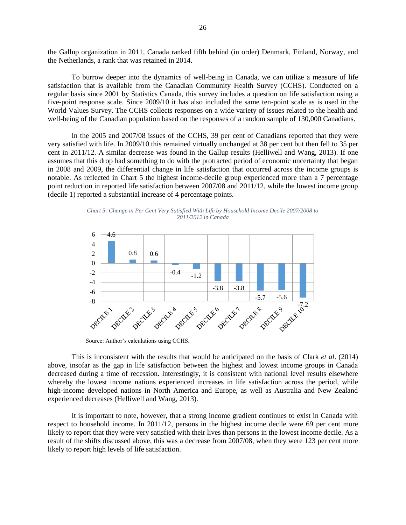the Gallup organization in 2011, Canada ranked fifth behind (in order) Denmark, Finland, Norway, and the Netherlands, a rank that was retained in 2014.

To burrow deeper into the dynamics of well-being in Canada, we can utilize a measure of life satisfaction that is available from the Canadian Community Health Survey (CCHS). Conducted on a regular basis since 2001 by Statistics Canada, this survey includes a question on life satisfaction using a five-point response scale. Since 2009/10 it has also included the same ten-point scale as is used in the World Values Survey. The CCHS collects responses on a wide variety of issues related to the health and well-being of the Canadian population based on the responses of a random sample of 130,000 Canadians.

In the 2005 and 2007/08 issues of the CCHS, 39 per cent of Canadians reported that they were very satisfied with life. In 2009/10 this remained virtually unchanged at 38 per cent but then fell to 35 per cent in 2011/12. A similar decrease was found in the Gallup results (Helliwell and Wang, 2013). If one assumes that this drop had something to do with the protracted period of economic uncertainty that began in 2008 and 2009, the differential change in life satisfaction that occurred across the income groups is notable. As reflected in Chart 5 the highest income-decile group experienced more than a 7 percentage point reduction in reported life satisfaction between 2007/08 and 2011/12, while the lowest income group (decile 1) reported a substantial increase of 4 percentage points.

*Chart 5: Change in Per Cent Very Satisfied With Life by Household Income Decile 2007/2008 to 2011/2012 in Canada*



Source: Author's calculations using CCHS.

This is inconsistent with the results that would be anticipated on the basis of Clark *et al*. (2014) above, insofar as the gap in life satisfaction between the highest and lowest income groups in Canada decreased during a time of recession. Interestingly, it is consistent with national level results elsewhere whereby the lowest income nations experienced increases in life satisfaction across the period, while high-income developed nations in North America and Europe, as well as Australia and New Zealand experienced decreases (Helliwell and Wang, 2013).

It is important to note, however, that a strong income gradient continues to exist in Canada with respect to household income. In 2011/12, persons in the highest income decile were 69 per cent more likely to report that they were very satisfied with their lives than persons in the lowest income decile. As a result of the shifts discussed above, this was a decrease from 2007/08, when they were 123 per cent more likely to report high levels of life satisfaction.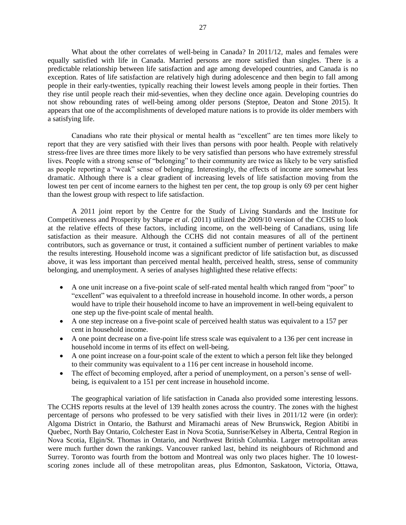What about the other correlates of well-being in Canada? In 2011/12, males and females were equally satisfied with life in Canada. Married persons are more satisfied than singles. There is a predictable relationship between life satisfaction and age among developed countries, and Canada is no exception. Rates of life satisfaction are relatively high during adolescence and then begin to fall among people in their early-twenties, typically reaching their lowest levels among people in their forties. Then they rise until people reach their mid-seventies, when they decline once again. Developing countries do not show rebounding rates of well-being among older persons (Steptoe, Deaton and Stone 2015). It appears that one of the accomplishments of developed mature nations is to provide its older members with a satisfying life.

Canadians who rate their physical or mental health as "excellent" are ten times more likely to report that they are very satisfied with their lives than persons with poor health. People with relatively stress-free lives are three times more likely to be very satisfied than persons who have extremely stressful lives. People with a strong sense of "belonging" to their community are twice as likely to be very satisfied as people reporting a "weak" sense of belonging. Interestingly, the effects of income are somewhat less dramatic. Although there is a clear gradient of increasing levels of life satisfaction moving from the lowest ten per cent of income earners to the highest ten per cent, the top group is only 69 per cent higher than the lowest group with respect to life satisfaction.

A 2011 joint report by the Centre for the Study of Living Standards and the Institute for Competitiveness and Prosperity by Sharpe *et al*. (2011) utilized the 2009/10 version of the CCHS to look at the relative effects of these factors, including income, on the well-being of Canadians, using life satisfaction as their measure. Although the CCHS did not contain measures of all of the pertinent contributors, such as governance or trust, it contained a sufficient number of pertinent variables to make the results interesting. Household income was a significant predictor of life satisfaction but, as discussed above, it was less important than perceived mental health, perceived health, stress, sense of community belonging, and unemployment. A series of analyses highlighted these relative effects:

- A one unit increase on a five-point scale of self-rated mental health which ranged from "poor" to "excellent" was equivalent to a threefold increase in household income. In other words, a person would have to triple their household income to have an improvement in well-being equivalent to one step up the five-point scale of mental health.
- A one step increase on a five-point scale of perceived health status was equivalent to a 157 per cent in household income.
- A one point decrease on a five-point life stress scale was equivalent to a 136 per cent increase in household income in terms of its effect on well-being.
- A one point increase on a four-point scale of the extent to which a person felt like they belonged to their community was equivalent to a 116 per cent increase in household income.
- The effect of becoming employed, after a period of unemployment, on a person's sense of wellbeing, is equivalent to a 151 per cent increase in household income.

The geographical variation of life satisfaction in Canada also provided some interesting lessons. The CCHS reports results at the level of 139 health zones across the country. The zones with the highest percentage of persons who professed to be very satisfied with their lives in 2011/12 were (in order): Algoma District in Ontario, the Bathurst and Miramachi areas of New Brunswick, Region Abitibi in Quebec, North Bay Ontario, Colchester East in Nova Scotia, Sunrise/Kelsey in Alberta, Central Region in Nova Scotia, Elgin/St. Thomas in Ontario, and Northwest British Columbia. Larger metropolitan areas were much further down the rankings. Vancouver ranked last, behind its neighbours of Richmond and Surrey. Toronto was fourth from the bottom and Montreal was only two places higher. The 10 lowestscoring zones include all of these metropolitan areas, plus Edmonton, Saskatoon, Victoria, Ottawa,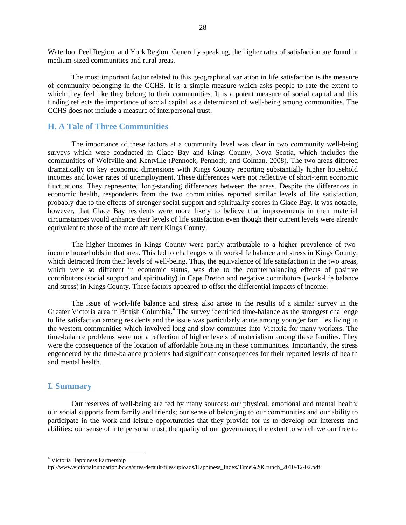Waterloo, Peel Region, and York Region. Generally speaking, the higher rates of satisfaction are found in medium-sized communities and rural areas.

The most important factor related to this geographical variation in life satisfaction is the measure of community-belonging in the CCHS. It is a simple measure which asks people to rate the extent to which they feel like they belong to their communities. It is a potent measure of social capital and this finding reflects the importance of social capital as a determinant of well-being among communities. The CCHS does not include a measure of interpersonal trust.

#### <span id="page-27-0"></span>**H. A Tale of Three Communities**

The importance of these factors at a community level was clear in two community well-being surveys which were conducted in Glace Bay and Kings County, Nova Scotia, which includes the communities of Wolfville and Kentville (Pennock, Pennock, and Colman, 2008). The two areas differed dramatically on key economic dimensions with Kings County reporting substantially higher household incomes and lower rates of unemployment. These differences were not reflective of short-term economic fluctuations. They represented long-standing differences between the areas. Despite the differences in economic health, respondents from the two communities reported similar levels of life satisfaction, probably due to the effects of stronger social support and spirituality scores in Glace Bay. It was notable, however, that Glace Bay residents were more likely to believe that improvements in their material circumstances would enhance their levels of life satisfaction even though their current levels were already equivalent to those of the more affluent Kings County.

The higher incomes in Kings County were partly attributable to a higher prevalence of twoincome households in that area. This led to challenges with work-life balance and stress in Kings County, which detracted from their levels of well-being. Thus, the equivalence of life satisfaction in the two areas, which were so different in economic status, was due to the counterbalancing effects of positive contributors (social support and spirituality) in Cape Breton and negative contributors (work-life balance and stress) in Kings County. These factors appeared to offset the differential impacts of income.

The issue of work-life balance and stress also arose in the results of a similar survey in the Greater Victoria area in British Columbia.<sup>4</sup> The survey identified time-balance as the strongest challenge to life satisfaction among residents and the issue was particularly acute among younger families living in the western communities which involved long and slow commutes into Victoria for many workers. The time-balance problems were not a reflection of higher levels of materialism among these families. They were the consequence of the location of affordable housing in these communities. Importantly, the stress engendered by the time-balance problems had significant consequences for their reported levels of health and mental health.

#### <span id="page-27-1"></span>**I. Summary**

l

Our reserves of well-being are fed by many sources: our physical, emotional and mental health; our social supports from family and friends; our sense of belonging to our communities and our ability to participate in the work and leisure opportunities that they provide for us to develop our interests and abilities; our sense of interpersonal trust; the quality of our governance; the extent to which we our free to

<sup>4</sup> Victoria Happiness Partnership

ttp://www.victoriafoundation.bc.ca/sites/default/files/uploads/Happiness\_Index/Time%20Crunch\_2010-12-02.pdf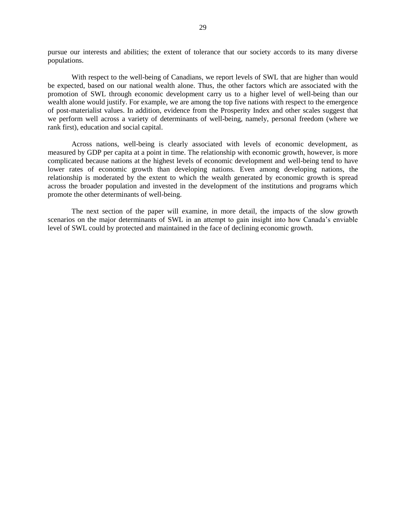pursue our interests and abilities; the extent of tolerance that our society accords to its many diverse populations.

With respect to the well-being of Canadians, we report levels of SWL that are higher than would be expected, based on our national wealth alone. Thus, the other factors which are associated with the promotion of SWL through economic development carry us to a higher level of well-being than our wealth alone would justify. For example, we are among the top five nations with respect to the emergence of post-materialist values. In addition, evidence from the Prosperity Index and other scales suggest that we perform well across a variety of determinants of well-being, namely, personal freedom (where we rank first), education and social capital.

Across nations, well-being is clearly associated with levels of economic development, as measured by GDP per capita at a point in time. The relationship with economic growth, however, is more complicated because nations at the highest levels of economic development and well-being tend to have lower rates of economic growth than developing nations. Even among developing nations, the relationship is moderated by the extent to which the wealth generated by economic growth is spread across the broader population and invested in the development of the institutions and programs which promote the other determinants of well-being.

The next section of the paper will examine, in more detail, the impacts of the slow growth scenarios on the major determinants of SWL in an attempt to gain insight into how Canada's enviable level of SWL could by protected and maintained in the face of declining economic growth.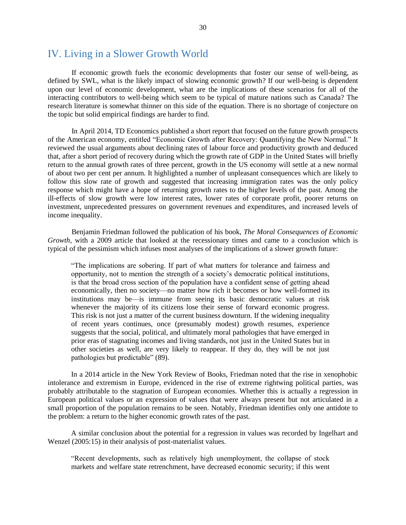## <span id="page-29-0"></span>IV. Living in a Slower Growth World

If economic growth fuels the economic developments that foster our sense of well-being, as defined by SWL, what is the likely impact of slowing economic growth? If our well-being is dependent upon our level of economic development, what are the implications of these scenarios for all of the interacting contributors to well-being which seem to be typical of mature nations such as Canada? The research literature is somewhat thinner on this side of the equation. There is no shortage of conjecture on the topic but solid empirical findings are harder to find.

In April 2014, TD Economics published a short report that focused on the future growth prospects of the American economy, entitled "Economic Growth after Recovery: Quantifying the New Normal." It reviewed the usual arguments about declining rates of labour force and productivity growth and deduced that, after a short period of recovery during which the growth rate of GDP in the United States will briefly return to the annual growth rates of three percent, growth in the US economy will settle at a new normal of about two per cent per annum. It highlighted a number of unpleasant consequences which are likely to follow this slow rate of growth and suggested that increasing immigration rates was the only policy response which might have a hope of returning growth rates to the higher levels of the past. Among the ill-effects of slow growth were low interest rates, lower rates of corporate profit, poorer returns on investment, unprecedented pressures on government revenues and expenditures, and increased levels of income inequality.

Benjamin Friedman followed the publication of his book, *The Moral Consequences of Economic Growth*, with a 2009 article that looked at the recessionary times and came to a conclusion which is typical of the pessimism which infuses most analyses of the implications of a slower growth future:

"The implications are sobering. If part of what matters for tolerance and fairness and opportunity, not to mention the strength of a society's democratic political institutions, is that the broad cross section of the population have a confident sense of getting ahead economically, then no society—no matter how rich it becomes or how well-formed its institutions may be—is immune from seeing its basic democratic values at risk whenever the majority of its citizens lose their sense of forward economic progress. This risk is not just a matter of the current business downturn. If the widening inequality of recent years continues, once (presumably modest) growth resumes, experience suggests that the social, political, and ultimately moral pathologies that have emerged in prior eras of stagnating incomes and living standards, not just in the United States but in other societies as well, are very likely to reappear. If they do, they will be not just pathologies but predictable" (89).

In a 2014 article in the New York Review of Books, Friedman noted that the rise in xenophobic intolerance and extremism in Europe, evidenced in the rise of extreme rightwing political parties, was probably attributable to the stagnation of European economies. Whether this is actually a regression in European political values or an expression of values that were always present but not articulated in a small proportion of the population remains to be seen. Notably, Friedman identifies only one antidote to the problem: a return to the higher economic growth rates of the past.

A similar conclusion about the potential for a regression in values was recorded by Ingelhart and Wenzel (2005:15) in their analysis of post-materialist values.

"Recent developments, such as relatively high unemployment, the collapse of stock markets and welfare state retrenchment, have decreased economic security; if this went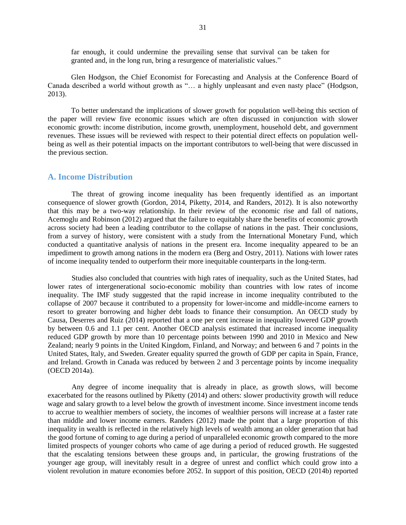far enough, it could undermine the prevailing sense that survival can be taken for granted and, in the long run, bring a resurgence of materialistic values."

Glen Hodgson, the Chief Economist for Forecasting and Analysis at the Conference Board of Canada described a world without growth as "… a highly unpleasant and even nasty place" (Hodgson, 2013).

To better understand the implications of slower growth for population well-being this section of the paper will review five economic issues which are often discussed in conjunction with slower economic growth: income distribution, income growth, unemployment, household debt, and government revenues. These issues will be reviewed with respect to their potential direct effects on population wellbeing as well as their potential impacts on the important contributors to well-being that were discussed in the previous section.

#### <span id="page-30-0"></span>**A. Income Distribution**

The threat of growing income inequality has been frequently identified as an important consequence of slower growth (Gordon, 2014, Piketty, 2014, and Randers, 2012). It is also noteworthy that this may be a two-way relationship. In their review of the economic rise and fall of nations, Acemoglu and Robinson (2012) argued that the failure to equitably share the benefits of economic growth across society had been a leading contributor to the collapse of nations in the past. Their conclusions, from a survey of history, were consistent with a study from the International Monetary Fund, which conducted a quantitative analysis of nations in the present era. Income inequality appeared to be an impediment to growth among nations in the modern era (Berg and Ostry, 2011). Nations with lower rates of income inequality tended to outperform their more inequitable counterparts in the long-term.

Studies also concluded that countries with high rates of inequality, such as the United States, had lower rates of intergenerational socio-economic mobility than countries with low rates of income inequality. The IMF study suggested that the rapid increase in income inequality contributed to the collapse of 2007 because it contributed to a propensity for lower-income and middle-income earners to resort to greater borrowing and higher debt loads to finance their consumption. An OECD study by Causa, Deserres and Ruiz (2014) reported that a one per cent increase in inequality lowered GDP growth by between 0.6 and 1.1 per cent. Another OECD analysis estimated that increased income inequality reduced GDP growth by more than 10 percentage points between 1990 and 2010 in Mexico and New Zealand; nearly 9 points in the United Kingdom, Finland, and Norway; and between 6 and 7 points in the United States, Italy, and Sweden. Greater equality spurred the growth of GDP per capita in Spain, France, and Ireland. Growth in Canada was reduced by between 2 and 3 percentage points by income inequality (OECD 2014a).

Any degree of income inequality that is already in place, as growth slows, will become exacerbated for the reasons outlined by Piketty (2014) and others: slower productivity growth will reduce wage and salary growth to a level below the growth of investment income. Since investment income tends to accrue to wealthier members of society, the incomes of wealthier persons will increase at a faster rate than middle and lower income earners. Randers (2012) made the point that a large proportion of this inequality in wealth is reflected in the relatively high levels of wealth among an older generation that had the good fortune of coming to age during a period of unparalleled economic growth compared to the more limited prospects of younger cohorts who came of age during a period of reduced growth. He suggested that the escalating tensions between these groups and, in particular, the growing frustrations of the younger age group, will inevitably result in a degree of unrest and conflict which could grow into a violent revolution in mature economies before 2052. In support of this position, OECD (2014b) reported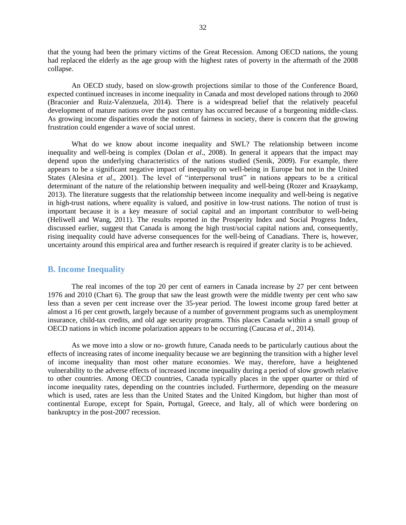that the young had been the primary victims of the Great Recession. Among OECD nations, the young had replaced the elderly as the age group with the highest rates of poverty in the aftermath of the 2008 collapse.

An OECD study, based on slow-growth projections similar to those of the Conference Board, expected continued increases in income inequality in Canada and most developed nations through to 2060 (Braconier and Ruiz-Valenzuela, 2014). There is a widespread belief that the relatively peaceful development of mature nations over the past century has occurred because of a burgeoning middle-class. As growing income disparities erode the notion of fairness in society, there is concern that the growing frustration could engender a wave of social unrest.

What do we know about income inequality and SWL? The relationship between income inequality and well-being is complex (Dolan *et al*., 2008). In general it appears that the impact may depend upon the underlying characteristics of the nations studied (Senik, 2009). For example, there appears to be a significant negative impact of inequality on well-being in Europe but not in the United States (Alesina *et al*., 2001). The level of "interpersonal trust" in nations appears to be a critical determinant of the nature of the relationship between inequality and well-being (Rozer and Kraaykamp, 2013). The literature suggests that the relationship between income inequality and well-being is negative in high-trust nations, where equality is valued, and positive in low-trust nations. The notion of trust is important because it is a key measure of social capital and an important contributor to well-being (Heliwell and Wang, 2011). The results reported in the Prosperity Index and Social Progress Index, discussed earlier, suggest that Canada is among the high trust/social capital nations and, consequently, rising inequality could have adverse consequences for the well-being of Canadians. There is, however, uncertainty around this empirical area and further research is required if greater clarity is to be achieved.

#### <span id="page-31-0"></span>**B. Income Inequality**

The real incomes of the top 20 per cent of earners in Canada increase by 27 per cent between 1976 and 2010 (Chart 6). The group that saw the least growth were the middle twenty per cent who saw less than a seven per cent increase over the 35-year period. The lowest income group fared better at almost a 16 per cent growth, largely because of a number of government programs such as unemployment insurance, child-tax credits, and old age security programs. This places Canada within a small group of OECD nations in which income polarization appears to be occurring (Caucasa *et al*., 2014).

As we move into a slow or no- growth future, Canada needs to be particularly cautious about the effects of increasing rates of income inequality because we are beginning the transition with a higher level of income inequality than most other mature economies. We may, therefore, have a heightened vulnerability to the adverse effects of increased income inequality during a period of slow growth relative to other countries. Among OECD countries, Canada typically places in the upper quarter or third of income inequality rates, depending on the countries included. Furthermore, depending on the measure which is used, rates are less than the United States and the United Kingdom, but higher than most of continental Europe, except for Spain, Portugal, Greece, and Italy, all of which were bordering on bankruptcy in the post-2007 recession.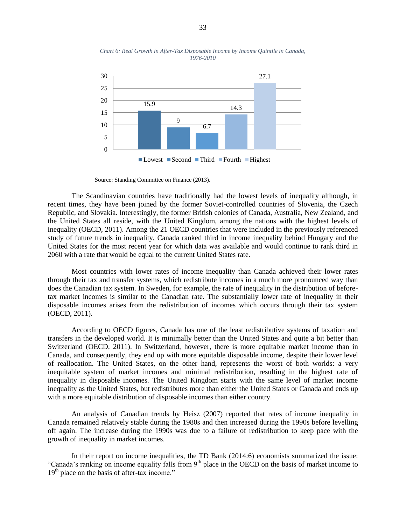

*Chart 6: Real Growth in After-Tax Disposable Income by Income Quintile in Canada, 1976-2010*

Source: Standing Committee on Finance (2013).

The Scandinavian countries have traditionally had the lowest levels of inequality although, in recent times, they have been joined by the former Soviet-controlled countries of Slovenia, the Czech Republic, and Slovakia. Interestingly, the former British colonies of Canada, Australia, New Zealand, and the United States all reside, with the United Kingdom, among the nations with the highest levels of inequality (OECD, 2011). Among the 21 OECD countries that were included in the previously referenced study of future trends in inequality, Canada ranked third in income inequality behind Hungary and the United States for the most recent year for which data was available and would continue to rank third in 2060 with a rate that would be equal to the current United States rate.

Most countries with lower rates of income inequality than Canada achieved their lower rates through their tax and transfer systems, which redistribute incomes in a much more pronounced way than does the Canadian tax system. In Sweden, for example, the rate of inequality in the distribution of beforetax market incomes is similar to the Canadian rate. The substantially lower rate of inequality in their disposable incomes arises from the redistribution of incomes which occurs through their tax system (OECD, 2011).

According to OECD figures, Canada has one of the least redistributive systems of taxation and transfers in the developed world. It is minimally better than the United States and quite a bit better than Switzerland (OECD, 2011). In Switzerland, however, there is more equitable market income than in Canada, and consequently, they end up with more equitable disposable income, despite their lower level of reallocation. The United States, on the other hand, represents the worst of both worlds: a very inequitable system of market incomes and minimal redistribution, resulting in the highest rate of inequality in disposable incomes. The United Kingdom starts with the same level of market income inequality as the United States, but redistributes more than either the United States or Canada and ends up with a more equitable distribution of disposable incomes than either country.

An analysis of Canadian trends by Heisz (2007) reported that rates of income inequality in Canada remained relatively stable during the 1980s and then increased during the 1990s before levelling off again. The increase during the 1990s was due to a failure of redistribution to keep pace with the growth of inequality in market incomes.

In their report on income inequalities, the TD Bank (2014:6) economists summarized the issue: "Canada's ranking on income equality falls from 9<sup>th</sup> place in the OECD on the basis of market income to 19<sup>th</sup> place on the basis of after-tax income."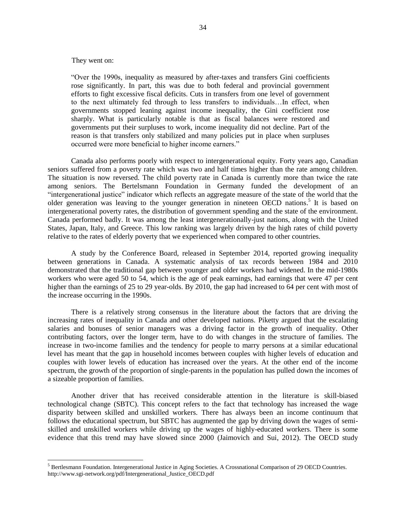#### They went on:

 $\overline{a}$ 

"Over the 1990s, inequality as measured by after-taxes and transfers Gini coefficients rose significantly. In part, this was due to both federal and provincial government efforts to fight excessive fiscal deficits. Cuts in transfers from one level of government to the next ultimately fed through to less transfers to individuals…In effect, when governments stopped leaning against income inequality, the Gini coefficient rose sharply. What is particularly notable is that as fiscal balances were restored and governments put their surpluses to work, income inequality did not decline. Part of the reason is that transfers only stabilized and many policies put in place when surpluses occurred were more beneficial to higher income earners."

Canada also performs poorly with respect to intergenerational equity. Forty years ago, Canadian seniors suffered from a poverty rate which was two and half times higher than the rate among children. The situation is now reversed. The child poverty rate in Canada is currently more than twice the rate among seniors. The Bertelsmann Foundation in Germany funded the development of an "intergenerational justice" indicator which reflects an aggregate measure of the state of the world that the older generation was leaving to the younger generation in nineteen OECD nations.<sup>5</sup> It is based on intergenerational poverty rates, the distribution of government spending and the state of the environment. Canada performed badly. It was among the least intergenerationally-just nations, along with the United States, Japan, Italy, and Greece. This low ranking was largely driven by the high rates of child poverty relative to the rates of elderly poverty that we experienced when compared to other countries.

A study by the Conference Board, released in September 2014, reported growing inequality between generations in Canada. A systematic analysis of tax records between 1984 and 2010 demonstrated that the traditional gap between younger and older workers had widened. In the mid-1980s workers who were aged 50 to 54, which is the age of peak earnings, had earnings that were 47 per cent higher than the earnings of 25 to 29 year-olds. By 2010, the gap had increased to 64 per cent with most of the increase occurring in the 1990s.

There is a relatively strong consensus in the literature about the factors that are driving the increasing rates of inequality in Canada and other developed nations. Piketty argued that the escalating salaries and bonuses of senior managers was a driving factor in the growth of inequality. Other contributing factors, over the longer term, have to do with changes in the structure of families. The increase in two-income families and the tendency for people to marry persons at a similar educational level has meant that the gap in household incomes between couples with higher levels of education and couples with lower levels of education has increased over the years. At the other end of the income spectrum, the growth of the proportion of single-parents in the population has pulled down the incomes of a sizeable proportion of families.

Another driver that has received considerable attention in the literature is skill-biased technological change (SBTC). This concept refers to the fact that technology has increased the wage disparity between skilled and unskilled workers. There has always been an income continuum that follows the educational spectrum, but SBTC has augmented the gap by driving down the wages of semiskilled and unskilled workers while driving up the wages of highly-educated workers. There is some evidence that this trend may have slowed since 2000 (Jaimovich and Sui, 2012). The OECD study

<sup>5</sup> Bertlesmann Foundation. Intergenerational Justice in Aging Societies. A Crossnational Comparison of 29 OECD Countries. http://www.sgi-network.org/pdf/Intergenerational\_Justice\_OECD.pdf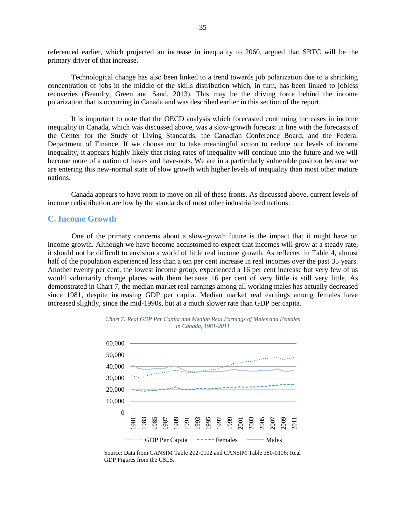referenced earlier, which projected an increase in inequality to 2060, argued that SBTC will be the primary driver of that increase.

Technological change has also been linked to a trend towards job polarization due to a shrinking concentration of jobs in the middle of the skills distribution which, in turn, has been linked to jobless recoveries (Beaudry, Green and Sand, 2013). This may be the driving force behind the income polarization that is occurring in Canada and was described earlier in this section of the report.

It is important to note that the OECD analysis which forecasted continuing increases in income inequality in Canada, which was discussed above, was a slow-growth forecast in line with the forecasts of the Center for the Study of Living Standards, the Canadian Conference Board, and the Federal Department of Finance. If we choose not to take meaningful action to reduce our levels of income inequality, it appears highly likely that rising rates of inequality will continue into the future and we will become more of a nation of haves and have-nots. We are in a particularly vulnerable position because we are entering this new-normal state of slow growth with higher levels of inequality than most other mature nations.

Canada appears to have room to move on all of these fronts. As discussed above, current levels of income redistribution are low by the standards of most other industrialized nations.

#### <span id="page-34-0"></span>**C. Income Growth**

One of the primary concerns about a slow-growth future is the impact that it might have on income growth. Although we have become accustomed to expect that incomes will grow at a steady rate, it should not be difficult to envision a world of little real income growth. As reflected in Table 4, almost half of the population experienced less than a ten per cent increase in real incomes over the past 35 years. Another twenty per cent, the lowest income group, experienced a 16 per cent increase but very few of us would voluntarily change places with them because 16 per cent of very little is still very little. As demonstrated in Chart 7, the median market real earnings among all working males has actually decreased since 1981, despite increasing GDP per capita. Median market real earnings among females have increased slightly, since the mid-1990s, but at a much slower rate than GDP per capita.



*Chart 7: Real GDP Per Capita and Median Real Earnings of Males and Females in Canada, 1981-2011*

Source: Data from CANSIM Table 202-0102 and CANSIM Table 380-0106; Real GDP Figures from the CSLS.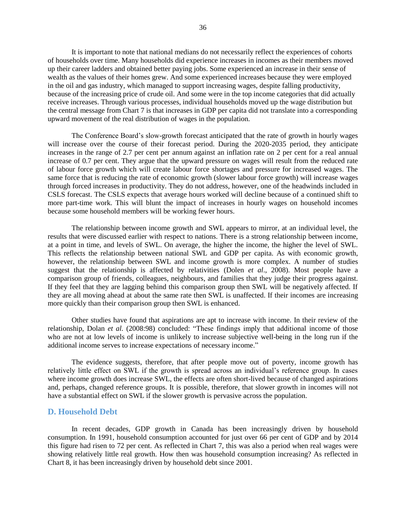It is important to note that national medians do not necessarily reflect the experiences of cohorts of households over time. Many households did experience increases in incomes as their members moved up their career ladders and obtained better paying jobs. Some experienced an increase in their sense of wealth as the values of their homes grew. And some experienced increases because they were employed in the oil and gas industry, which managed to support increasing wages, despite falling productivity, because of the increasing price of crude oil. And some were in the top income categories that did actually receive increases. Through various processes, individual households moved up the wage distribution but the central message from Chart 7 is that increases in GDP per capita did not translate into a corresponding upward movement of the real distribution of wages in the population.

The Conference Board's slow-growth forecast anticipated that the rate of growth in hourly wages will increase over the course of their forecast period. During the 2020-2035 period, they anticipate increases in the range of 2.7 per cent per annum against an inflation rate on 2 per cent for a real annual increase of 0.7 per cent. They argue that the upward pressure on wages will result from the reduced rate of labour force growth which will create labour force shortages and pressure for increased wages. The same force that is reducing the rate of economic growth (slower labour force growth) will increase wages through forced increases in productivity. They do not address, however, one of the headwinds included in CSLS forecast. The CSLS expects that average hours worked will decline because of a continued shift to more part-time work. This will blunt the impact of increases in hourly wages on household incomes because some household members will be working fewer hours.

The relationship between income growth and SWL appears to mirror, at an individual level, the results that were discussed earlier with respect to nations. There is a strong relationship between income, at a point in time, and levels of SWL. On average, the higher the income, the higher the level of SWL. This reflects the relationship between national SWL and GDP per capita. As with economic growth, however, the relationship between SWL and income growth is more complex. A number of studies suggest that the relationship is affected by relativities (Dolen *et al*., 2008). Most people have a comparison group of friends, colleagues, neighbours, and families that they judge their progress against. If they feel that they are lagging behind this comparison group then SWL will be negatively affected. If they are all moving ahead at about the same rate then SWL is unaffected. If their incomes are increasing more quickly than their comparison group then SWL is enhanced.

Other studies have found that aspirations are apt to increase with income. In their review of the relationship, Dolan *et al.* (2008:98) concluded: "These findings imply that additional income of those who are not at low levels of income is unlikely to increase subjective well-being in the long run if the additional income serves to increase expectations of necessary income."

The evidence suggests, therefore, that after people move out of poverty, income growth has relatively little effect on SWL if the growth is spread across an individual's reference group. In cases where income growth does increase SWL, the effects are often short-lived because of changed aspirations and, perhaps, changed reference groups. It is possible, therefore, that slower growth in incomes will not have a substantial effect on SWL if the slower growth is pervasive across the population.

#### <span id="page-35-0"></span>**D. Household Debt**

In recent decades, GDP growth in Canada has been increasingly driven by household consumption. In 1991, household consumption accounted for just over 66 per cent of GDP and by 2014 this figure had risen to 72 per cent. As reflected in Chart 7, this was also a period when real wages were showing relatively little real growth. How then was household consumption increasing? As reflected in Chart 8, it has been increasingly driven by household debt since 2001.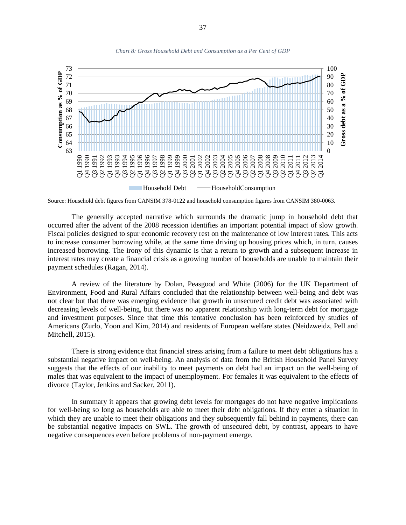

*Chart 8: Gross Household Debt and Consumption as a Per Cent of GDP*

Source: Household debt figures from CANSIM 378-0122 and household consumption figures from CANSIM 380-0063.

The generally accepted narrative which surrounds the dramatic jump in household debt that occurred after the advent of the 2008 recession identifies an important potential impact of slow growth. Fiscal policies designed to spur economic recovery rest on the maintenance of low interest rates. This acts to increase consumer borrowing while, at the same time driving up housing prices which, in turn, causes increased borrowing. The irony of this dynamic is that a return to growth and a subsequent increase in interest rates may create a financial crisis as a growing number of households are unable to maintain their payment schedules (Ragan, 2014).

A review of the literature by Dolan, Peasgood and White (2006) for the UK Department of Environment, Food and Rural Affairs concluded that the relationship between well-being and debt was not clear but that there was emerging evidence that growth in unsecured credit debt was associated with decreasing levels of well-being, but there was no apparent relationship with long-term debt for mortgage and investment purposes. Since that time this tentative conclusion has been reinforced by studies of Americans (Zurlo, Yoon and Kim, 2014) and residents of European welfare states (Neidzweidz, Pell and Mitchell, 2015).

There is strong evidence that financial stress arising from a failure to meet debt obligations has a substantial negative impact on well-being. An analysis of data from the British Household Panel Survey suggests that the effects of our inability to meet payments on debt had an impact on the well-being of males that was equivalent to the impact of unemployment. For females it was equivalent to the effects of divorce (Taylor, Jenkins and Sacker, 2011).

In summary it appears that growing debt levels for mortgages do not have negative implications for well-being so long as households are able to meet their debt obligations. If they enter a situation in which they are unable to meet their obligations and they subsequently fall behind in payments, there can be substantial negative impacts on SWL. The growth of unsecured debt, by contrast, appears to have negative consequences even before problems of non-payment emerge.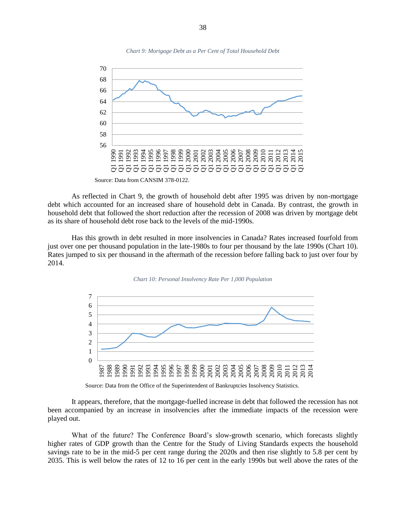

As reflected in Chart 9, the growth of household debt after 1995 was driven by non-mortgage debt which accounted for an increased share of household debt in Canada. By contrast, the growth in household debt that followed the short reduction after the recession of 2008 was driven by mortgage debt as its share of household debt rose back to the levels of the mid-1990s.

Has this growth in debt resulted in more insolvencies in Canada? Rates increased fourfold from just over one per thousand population in the late-1980s to four per thousand by the late 1990s (Chart 10). Rates jumped to six per thousand in the aftermath of the recession before falling back to just over four by 2014.





Source: Data from the Office of the Superintendent of Bankruptcies Insolvency Statistics.

It appears, therefore, that the mortgage-fuelled increase in debt that followed the recession has not been accompanied by an increase in insolvencies after the immediate impacts of the recession were played out.

What of the future? The Conference Board's slow-growth scenario, which forecasts slightly higher rates of GDP growth than the Centre for the Study of Living Standards expects the household savings rate to be in the mid-5 per cent range during the 2020s and then rise slightly to 5.8 per cent by 2035. This is well below the rates of 12 to 16 per cent in the early 1990s but well above the rates of the

*Chart 9: Mortgage Debt as a Per Cent of Total Household Debt*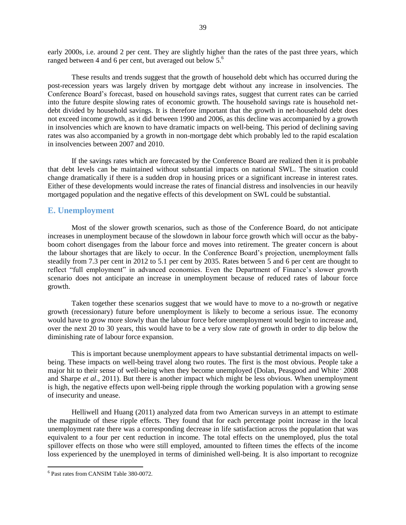early 2000s, i.e. around 2 per cent. They are slightly higher than the rates of the past three years, which ranged between 4 and 6 per cent, but averaged out below 5.<sup>6</sup>

These results and trends suggest that the growth of household debt which has occurred during the post-recession years was largely driven by mortgage debt without any increase in insolvencies. The Conference Board's forecast, based on household savings rates, suggest that current rates can be carried into the future despite slowing rates of economic growth. The household savings rate is household netdebt divided by household savings. It is therefore important that the growth in net-household debt does not exceed income growth, as it did between 1990 and 2006, as this decline was accompanied by a growth in insolvencies which are known to have dramatic impacts on well-being. This period of declining saving rates was also accompanied by a growth in non-mortgage debt which probably led to the rapid escalation in insolvencies between 2007 and 2010.

If the savings rates which are forecasted by the Conference Board are realized then it is probable that debt levels can be maintained without substantial impacts on national SWL. The situation could change dramatically if there is a sudden drop in housing prices or a significant increase in interest rates. Either of these developments would increase the rates of financial distress and insolvencies in our heavily mortgaged population and the negative effects of this development on SWL could be substantial.

#### <span id="page-38-0"></span>**E. Unemployment**

Most of the slower growth scenarios, such as those of the Conference Board, do not anticipate increases in unemployment because of the slowdown in labour force growth which will occur as the babyboom cohort disengages from the labour force and moves into retirement. The greater concern is about the labour shortages that are likely to occur. In the Conference Board's projection, unemployment falls steadily from 7.3 per cent in 2012 to 5.1 per cent by 2035. Rates between 5 and 6 per cent are thought to reflect "full employment" in advanced economies. Even the Department of Finance's slower growth scenario does not anticipate an increase in unemployment because of reduced rates of labour force growth.

Taken together these scenarios suggest that we would have to move to a no-growth or negative growth (recessionary) future before unemployment is likely to become a serious issue. The economy would have to grow more slowly than the labour force before unemployment would begin to increase and, over the next 20 to 30 years, this would have to be a very slow rate of growth in order to dip below the diminishing rate of labour force expansion.

This is important because unemployment appears to have substantial detrimental impacts on wellbeing. These impacts on well-being travel along two routes. The first is the most obvious. People take a major hit to their sense of well-being when they become unemployed (Dolan, Peasgood and White ' 2008 and Sharpe *et al*., 2011). But there is another impact which might be less obvious. When unemployment is high, the negative effects upon well-being ripple through the working population with a growing sense of insecurity and unease.

Helliwell and Huang (2011) analyzed data from two American surveys in an attempt to estimate the magnitude of these ripple effects. They found that for each percentage point increase in the local unemployment rate there was a corresponding decrease in life satisfaction across the population that was equivalent to a four per cent reduction in income. The total effects on the unemployed, plus the total spillover effects on those who were still employed, amounted to fifteen times the effects of the income loss experienced by the unemployed in terms of diminished well-being. It is also important to recognize

 $\overline{\phantom{a}}$ 

<sup>6</sup> Past rates from CANSIM Table 380-0072.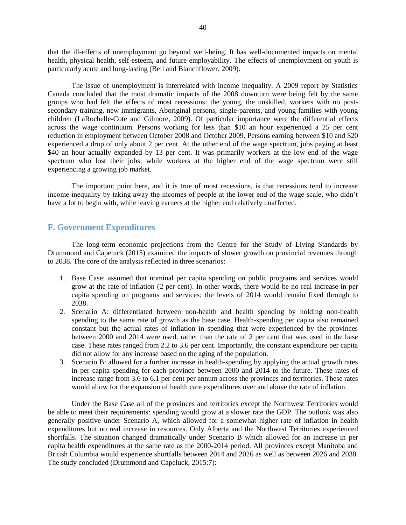that the ill-effects of unemployment go beyond well-being. It has well-documented impacts on mental health, physical health, self-esteem, and future employability. The effects of unemployment on youth is particularly acute and long-lasting (Bell and Blanchflower, 2009).

The issue of unemployment is interrelated with income inequality. A 2009 report by Statistics Canada concluded that the most dramatic impacts of the 2008 downturn were being felt by the same groups who had felt the effects of most recessions: the young, the unskilled, workers with no postsecondary training, new immigrants, Aboriginal persons, single-parents, and young families with young children (LaRochelle-Cote and Gilmore, 2009). Of particular importance were the differential effects across the wage continuum. Persons working for less than \$10 an hour experienced a 25 per cent reduction in employment between October 2008 and October 2009. Persons earning between \$10 and \$20 experienced a drop of only about 2 per cent. At the other end of the wage spectrum, jobs paying at least \$40 an hour actually expanded by 13 per cent. It was primarily workers at the low end of the wage spectrum who lost their jobs, while workers at the higher end of the wage spectrum were still experiencing a growing job market.

The important point here, and it is true of most recessions, is that recessions tend to increase income inequality by taking away the incomes of people at the lower end of the wage scale, who didn't have a lot to begin with, while leaving earners at the higher end relatively unaffected.

#### <span id="page-39-0"></span>**F. Government Expenditures**

The long-term economic projections from the Centre for the Study of Living Standards by Drummond and Capeluck (2015) examined the impacts of slower growth on provincial revenues through to 2038. The core of the analysis reflected in three scenarios:

- 1. Base Case: assumed that nominal per capita spending on public programs and services would grow at the rate of inflation (2 per cent). In other words, there would be no real increase in per capita spending on programs and services; the levels of 2014 would remain fixed through to 2038.
- 2. Scenario A: differentiated between non-health and health spending by holding non-health spending to the same rate of growth as the base case. Health-spending per capita also remained constant but the actual rates of inflation in spending that were experienced by the provinces between 2000 and 2014 were used, rather than the rate of 2 per cent that was used in the base case. These rates ranged from 2.2 to 3.6 per cent. Importantly, the constant expenditure per capita did not allow for any increase based on the aging of the population.
- 3. Scenario B: allowed for a further increase in health-spending by applying the actual growth rates in per capita spending for each province between 2000 and 2014 to the future. These rates of increase range from 3.6 to 6.1 per cent per annum across the provinces and territories. These rates would allow for the expansion of health care expenditures over and above the rate of inflation.

Under the Base Case all of the provinces and territories except the Northwest Territories would be able to meet their requirements: spending would grow at a slower rate the GDP. The outlook was also generally positive under Scenario A, which allowed for a somewhat higher rate of inflation in health expenditures but no real increase in resources. Only Alberta and the Northwest Territories experienced shortfalls. The situation changed dramatically under Scenario B which allowed for an increase in per capita health expenditures at the same rate as the 2000-2014 period. All provinces except Manitoba and British Columbia would experience shortfalls between 2014 and 2026 as well as between 2026 and 2038. The study concluded (Drummond and Capeluck, 2015:7):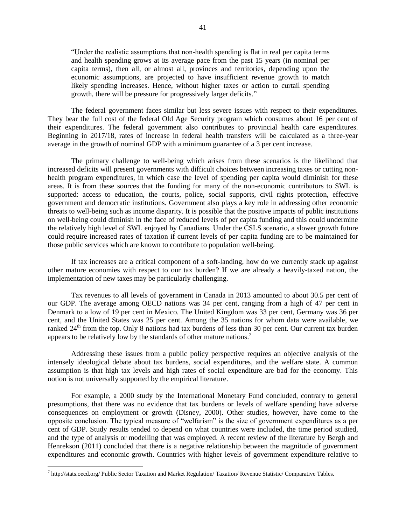"Under the realistic assumptions that non-health spending is flat in real per capita terms and health spending grows at its average pace from the past 15 years (in nominal per capita terms), then all, or almost all, provinces and territories, depending upon the economic assumptions, are projected to have insufficient revenue growth to match likely spending increases. Hence, without higher taxes or action to curtail spending growth, there will be pressure for progressively larger deficits."

The federal government faces similar but less severe issues with respect to their expenditures. They bear the full cost of the federal Old Age Security program which consumes about 16 per cent of their expenditures. The federal government also contributes to provincial health care expenditures. Beginning in 2017/18, rates of increase in federal health transfers will be calculated as a three-year average in the growth of nominal GDP with a minimum guarantee of a 3 per cent increase.

The primary challenge to well-being which arises from these scenarios is the likelihood that increased deficits will present governments with difficult choices between increasing taxes or cutting nonhealth program expenditures, in which case the level of spending per capita would diminish for these areas. It is from these sources that the funding for many of the non-economic contributors to SWL is supported: access to education, the courts, police, social supports, civil rights protection, effective government and democratic institutions. Government also plays a key role in addressing other economic threats to well-being such as income disparity. It is possible that the positive impacts of public institutions on well-being could diminish in the face of reduced levels of per capita funding and this could undermine the relatively high level of SWL enjoyed by Canadians. Under the CSLS scenario, a slower growth future could require increased rates of taxation if current levels of per capita funding are to be maintained for those public services which are known to contribute to population well-being.

If tax increases are a critical component of a soft-landing, how do we currently stack up against other mature economies with respect to our tax burden? If we are already a heavily-taxed nation, the implementation of new taxes may be particularly challenging.

Tax revenues to all levels of government in Canada in 2013 amounted to about 30.5 per cent of our GDP. The average among OECD nations was 34 per cent, ranging from a high of 47 per cent in Denmark to a low of 19 per cent in Mexico. The United Kingdom was 33 per cent, Germany was 36 per cent, and the United States was 25 per cent. Among the 35 nations for whom data were available, we ranked  $24<sup>th</sup>$  from the top. Only 8 nations had tax burdens of less than 30 per cent. Our current tax burden appears to be relatively low by the standards of other mature nations.<sup>7</sup>

Addressing these issues from a public policy perspective requires an objective analysis of the intensely ideological debate about tax burdens, social expenditures, and the welfare state. A common assumption is that high tax levels and high rates of social expenditure are bad for the economy. This notion is not universally supported by the empirical literature.

For example, a 2000 study by the International Monetary Fund concluded, contrary to general presumptions, that there was no evidence that tax burdens or levels of welfare spending have adverse consequences on employment or growth (Disney, 2000). Other studies, however, have come to the opposite conclusion. The typical measure of "welfarism" is the size of government expenditures as a per cent of GDP. Study results tended to depend on what countries were included, the time period studied, and the type of analysis or modelling that was employed. A recent review of the literature by Bergh and Henrekson (2011) concluded that there is a negative relationship between the magnitude of government expenditures and economic growth. Countries with higher levels of government expenditure relative to

 $\overline{\phantom{a}}$ 

<sup>7</sup> http://stats.oecd.org/ Public Sector Taxation and Market Regulation/ Taxation/ Revenue Statistic/ Comparative Tables.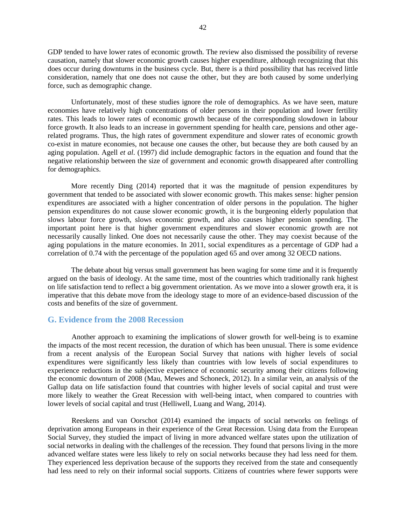GDP tended to have lower rates of economic growth. The review also dismissed the possibility of reverse causation, namely that slower economic growth causes higher expenditure, although recognizing that this does occur during downturns in the business cycle. But, there is a third possibility that has received little consideration, namely that one does not cause the other, but they are both caused by some underlying force, such as demographic change.

Unfortunately, most of these studies ignore the role of demographics. As we have seen, mature economies have relatively high concentrations of older persons in their population and lower fertility rates. This leads to lower rates of economic growth because of the corresponding slowdown in labour force growth. It also leads to an increase in government spending for health care, pensions and other agerelated programs. Thus, the high rates of government expenditure and slower rates of economic growth co-exist in mature economies, not because one causes the other, but because they are both caused by an aging population. Agell *et al*. (1997) did include demographic factors in the equation and found that the negative relationship between the size of government and economic growth disappeared after controlling for demographics.

More recently Ding (2014) reported that it was the magnitude of pension expenditures by government that tended to be associated with slower economic growth. This makes sense: higher pension expenditures are associated with a higher concentration of older persons in the population. The higher pension expenditures do not cause slower economic growth, it is the burgeoning elderly population that slows labour force growth, slows economic growth, and also causes higher pension spending. The important point here is that higher government expenditures and slower economic growth are not necessarily causally linked. One does not necessarily cause the other. They may coexist because of the aging populations in the mature economies. In 2011, social expenditures as a percentage of GDP had a correlation of 0.74 with the percentage of the population aged 65 and over among 32 OECD nations.

The debate about big versus small government has been waging for some time and it is frequently argued on the basis of ideology. At the same time, most of the countries which traditionally rank highest on life satisfaction tend to reflect a big government orientation. As we move into a slower growth era, it is imperative that this debate move from the ideology stage to more of an evidence-based discussion of the costs and benefits of the size of government.

#### <span id="page-41-0"></span>**G. Evidence from the 2008 Recession**

Another approach to examining the implications of slower growth for well-being is to examine the impacts of the most recent recession, the duration of which has been unusual. There is some evidence from a recent analysis of the European Social Survey that nations with higher levels of social expenditures were significantly less likely than countries with low levels of social expenditures to experience reductions in the subjective experience of economic security among their citizens following the economic downturn of 2008 (Mau, Mewes and Schoneck, 2012). In a similar vein, an analysis of the Gallup data on life satisfaction found that countries with higher levels of social capital and trust were more likely to weather the Great Recession with well-being intact, when compared to countries with lower levels of social capital and trust (Helliwell, Luang and Wang, 2014).

Reeskens and van Oorschot (2014) examined the impacts of social networks on feelings of deprivation among Europeans in their experience of the Great Recession. Using data from the European Social Survey, they studied the impact of living in more advanced welfare states upon the utilization of social networks in dealing with the challenges of the recession. They found that persons living in the more advanced welfare states were less likely to rely on social networks because they had less need for them. They experienced less deprivation because of the supports they received from the state and consequently had less need to rely on their informal social supports. Citizens of countries where fewer supports were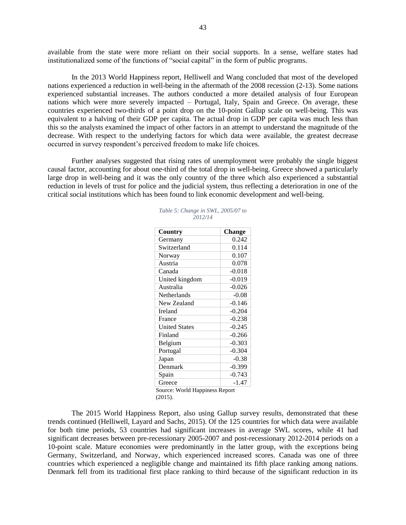available from the state were more reliant on their social supports. In a sense, welfare states had institutionalized some of the functions of "social capital" in the form of public programs.

In the 2013 World Happiness report, Helliwell and Wang concluded that most of the developed nations experienced a reduction in well-being in the aftermath of the 2008 recession (2-13). Some nations experienced substantial increases. The authors conducted a more detailed analysis of four European nations which were more severely impacted – Portugal, Italy, Spain and Greece. On average, these countries experienced two-thirds of a point drop on the 10-point Gallup scale on well-being. This was equivalent to a halving of their GDP per capita. The actual drop in GDP per capita was much less than this so the analysts examined the impact of other factors in an attempt to understand the magnitude of the decrease. With respect to the underlying factors for which data were available, the greatest decrease occurred in survey respondent's perceived freedom to make life choices.

Further analyses suggested that rising rates of unemployment were probably the single biggest causal factor, accounting for about one-third of the total drop in well-being. Greece showed a particularly large drop in well-being and it was the only country of the three which also experienced a substantial reduction in levels of trust for police and the judicial system, thus reflecting a deterioration in one of the critical social institutions which has been found to link economic development and well-being.

| Country                        | <b>Change</b> |
|--------------------------------|---------------|
| Germany                        | 0.242         |
| Switzerland                    | 0.114         |
| Norway                         | 0.107         |
| Austria                        | 0.078         |
| Canada                         | $-0.018$      |
| United kingdom                 | $-0.019$      |
| Australia                      | $-0.026$      |
| Netherlands                    | $-0.08$       |
| New Zealand                    | $-0.146$      |
| Ireland                        | $-0.204$      |
| France                         | $-0.238$      |
| <b>United States</b>           | $-0.245$      |
| Finland                        | $-0.266$      |
| Belgium                        | $-0.303$      |
| Portugal                       | $-0.304$      |
| Japan                          | $-0.38$       |
| Denmark                        | $-0.399$      |
| Spain                          | $-0.743$      |
| Greece                         | $-1.47$       |
| Source: World Happiness Report |               |
| (2015).                        |               |

|  |         |  | Table 5: Change in SWL, 2005/07 to |  |
|--|---------|--|------------------------------------|--|
|  | 2012/14 |  |                                    |  |

The 2015 World Happiness Report, also using Gallup survey results, demonstrated that these trends continued (Helliwell, Layard and Sachs, 2015). Of the 125 countries for which data were available for both time periods, 53 countries had significant increases in average SWL scores, while 41 had significant decreases between pre-recessionary 2005-2007 and post-recessionary 2012-2014 periods on a 10-point scale. Mature economies were predominantly in the latter group, with the exceptions being Germany, Switzerland, and Norway, which experienced increased scores. Canada was one of three countries which experienced a negligible change and maintained its fifth place ranking among nations. Denmark fell from its traditional first place ranking to third because of the significant reduction in its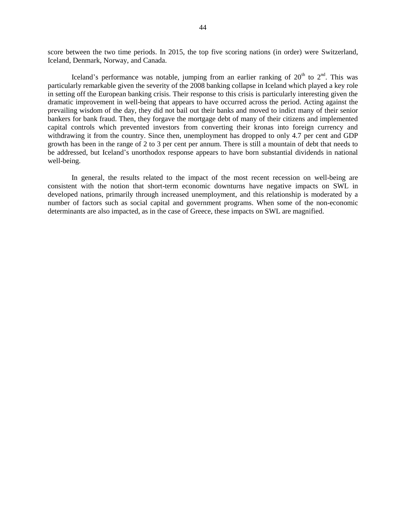score between the two time periods. In 2015, the top five scoring nations (in order) were Switzerland, Iceland, Denmark, Norway, and Canada.

Iceland's performance was notable, jumping from an earlier ranking of  $20<sup>th</sup>$  to  $2<sup>nd</sup>$ . This was particularly remarkable given the severity of the 2008 banking collapse in Iceland which played a key role in setting off the European banking crisis. Their response to this crisis is particularly interesting given the dramatic improvement in well-being that appears to have occurred across the period. Acting against the prevailing wisdom of the day, they did not bail out their banks and moved to indict many of their senior bankers for bank fraud. Then, they forgave the mortgage debt of many of their citizens and implemented capital controls which prevented investors from converting their kronas into foreign currency and withdrawing it from the country. Since then, unemployment has dropped to only 4.7 per cent and GDP growth has been in the range of 2 to 3 per cent per annum. There is still a mountain of debt that needs to be addressed, but Iceland's unorthodox response appears to have born substantial dividends in national well-being.

In general, the results related to the impact of the most recent recession on well-being are consistent with the notion that short-term economic downturns have negative impacts on SWL in developed nations, primarily through increased unemployment, and this relationship is moderated by a number of factors such as social capital and government programs. When some of the non-economic determinants are also impacted, as in the case of Greece, these impacts on SWL are magnified.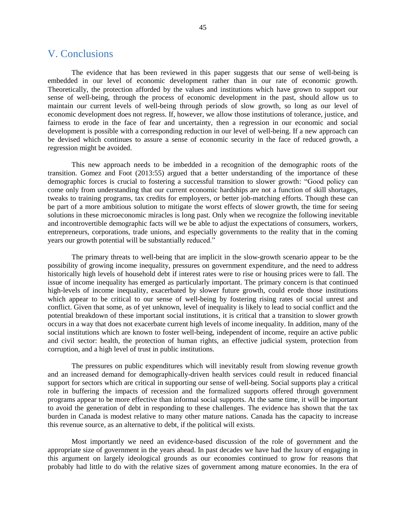### <span id="page-44-0"></span>V. Conclusions

The evidence that has been reviewed in this paper suggests that our sense of well-being is embedded in our level of economic development rather than in our rate of economic growth. Theoretically, the protection afforded by the values and institutions which have grown to support our sense of well-being, through the process of economic development in the past, should allow us to maintain our current levels of well-being through periods of slow growth, so long as our level of economic development does not regress. If, however, we allow those institutions of tolerance, justice, and fairness to erode in the face of fear and uncertainty, then a regression in our economic and social development is possible with a corresponding reduction in our level of well-being. If a new approach can be devised which continues to assure a sense of economic security in the face of reduced growth, a regression might be avoided.

This new approach needs to be imbedded in a recognition of the demographic roots of the transition. Gomez and Foot (2013:55) argued that a better understanding of the importance of these demographic forces is crucial to fostering a successful transition to slower growth: "Good policy can come only from understanding that our current economic hardships are not a function of skill shortages, tweaks to training programs, tax credits for employers, or better job-matching efforts. Though these can be part of a more ambitious solution to mitigate the worst effects of slower growth, the time for seeing solutions in these microeconomic miracles is long past. Only when we recognize the following inevitable and incontrovertible demographic facts will we be able to adjust the expectations of consumers, workers, entrepreneurs, corporations, trade unions, and especially governments to the reality that in the coming years our growth potential will be substantially reduced."

The primary threats to well-being that are implicit in the slow-growth scenario appear to be the possibility of growing income inequality, pressures on government expenditure, and the need to address historically high levels of household debt if interest rates were to rise or housing prices were to fall. The issue of income inequality has emerged as particularly important. The primary concern is that continued high-levels of income inequality, exacerbated by slower future growth, could erode those institutions which appear to be critical to our sense of well-being by fostering rising rates of social unrest and conflict. Given that some, as of yet unknown, level of inequality is likely to lead to social conflict and the potential breakdown of these important social institutions, it is critical that a transition to slower growth occurs in a way that does not exacerbate current high levels of income inequality. In addition, many of the social institutions which are known to foster well-being, independent of income, require an active public and civil sector: health, the protection of human rights, an effective judicial system, protection from corruption, and a high level of trust in public institutions.

The pressures on public expenditures which will inevitably result from slowing revenue growth and an increased demand for demographically-driven health services could result in reduced financial support for sectors which are critical in supporting our sense of well-being. Social supports play a critical role in buffering the impacts of recession and the formalized supports offered through government programs appear to be more effective than informal social supports. At the same time, it will be important to avoid the generation of debt in responding to these challenges. The evidence has shown that the tax burden in Canada is modest relative to many other mature nations. Canada has the capacity to increase this revenue source, as an alternative to debt, if the political will exists.

Most importantly we need an evidence-based discussion of the role of government and the appropriate size of government in the years ahead. In past decades we have had the luxury of engaging in this argument on largely ideological grounds as our economies continued to grow for reasons that probably had little to do with the relative sizes of government among mature economies. In the era of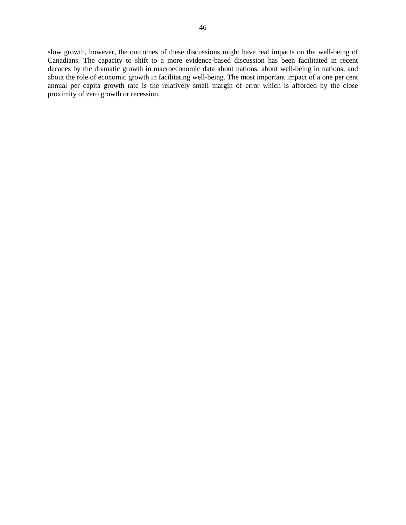slow growth, however, the outcomes of these discussions might have real impacts on the well-being of Canadians. The capacity to shift to a more evidence-based discussion has been facilitated in recent decades by the dramatic growth in macroeconomic data about nations, about well-being in nations, and about the role of economic growth in facilitating well-being. The most important impact of a one per cent annual per capita growth rate is the relatively small margin of error which is afforded by the close proximity of zero growth or recession.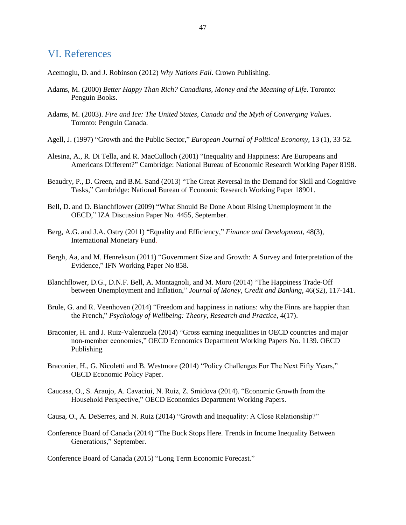### <span id="page-46-0"></span>VI. References

Acemoglu, D. and J. Robinson (2012) *Why Nations Fail*. Crown Publishing.

- Adams, M. (2000) *Better Happy Than Rich? Canadians, Money and the Meaning of Life*. Toronto: Penguin Books.
- Adams, M. (2003). *Fire and Ice: The United States, Canada and the Myth of Converging Values*. Toronto: Penguin Canada.
- Agell, J. (1997) "Growth and the Public Sector," *European Journal of Political Economy*, 13 (1), 33-52.
- Alesina, A., R. Di Tella, and R. MacCulloch (2001) "Inequality and Happiness: Are Europeans and Americans Different?" Cambridge: National Bureau of Economic Research Working Paper 8198.
- Beaudry, P., D. Green, and B.M. Sand (2013) "The Great Reversal in the Demand for Skill and Cognitive Tasks," Cambridge: National Bureau of Economic Research Working Paper 18901.
- Bell, D. and D. Blanchflower (2009) "What Should Be Done About Rising Unemployment in the OECD," IZA Discussion Paper No. 4455, September.
- Berg, A.G. and J.A. Ostry (2011) "Equality and Efficiency," *Finance and Development*, 48(3), International Monetary Fund.
- Bergh, Aa, and M. Henrekson (2011) "Government Size and Growth: A Survey and Interpretation of the Evidence," IFN Working Paper No 858.
- Blanchflower, D.G., D.N.F. Bell, A. Montagnoli, and M. Moro (2014) "The Happiness Trade-Off between Unemployment and Inflation," *Journal of Money, Credit and Banking*, 46(S2), 117-141.
- Brule, G. and R. Veenhoven (2014) "Freedom and happiness in nations: why the Finns are happier than the French," *Psychology of Wellbeing: Theory, Research and Practice*, 4(17).
- Braconier, H. and J. Ruiz-Valenzuela (2014) "Gross earning inequalities in OECD countries and major non-member economies," OECD Economics Department Working Papers No. 1139. OECD Publishing
- Braconier, H., G. Nicoletti and B. Westmore (2014) "Policy Challenges For The Next Fifty Years," OECD Economic Policy Paper.
- Caucasa, O., S. Araujo, A. Cavaciui, N. Ruiz, Z. Smidova (2014). "Economic Growth from the Household Perspective," OECD Economics Department Working Papers.
- Causa, O., A. DeSerres, and N. Ruiz (2014) "Growth and Inequality: A Close Relationship?"
- Conference Board of Canada (2014) "The Buck Stops Here. Trends in Income Inequality Between Generations," September.

Conference Board of Canada (2015) "Long Term Economic Forecast."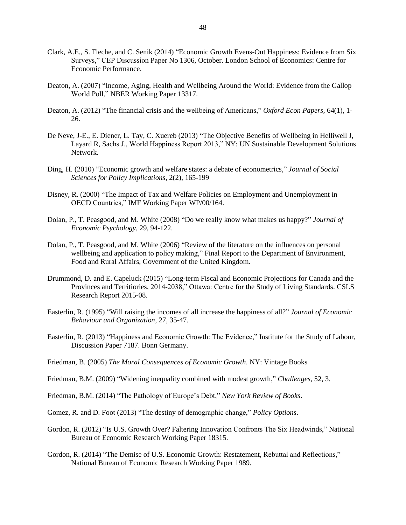- Clark, A.E., S. Fleche, and C. Senik (2014) "Economic Growth Evens-Out Happiness: Evidence from Six Surveys," CEP Discussion Paper No 1306, October. London School of Economics: Centre for Economic Performance.
- Deaton, A. (2007) "Income, Aging, Health and Wellbeing Around the World: Evidence from the Gallop World Poll," NBER Working Paper 13317.
- Deaton, A. (2012) "The financial crisis and the wellbeing of Americans," *Oxford Econ Papers*, 64(1), 1- 26.
- De Neve, J-E., E. Diener, L. Tay, C. Xuereb (2013) "The Objective Benefits of Wellbeing in Helliwell J, Layard R, Sachs J., World Happiness Report 2013," NY: UN Sustainable Development Solutions Network.
- Ding, H. (2010) "Economic growth and welfare states: a debate of econometrics," *Journal of Social Sciences for Policy Implications*, 2(2), 165-199
- Disney, R. (2000) "The Impact of Tax and Welfare Policies on Employment and Unemployment in OECD Countries," IMF Working Paper WP/00/164.
- Dolan, P., T. Peasgood, and M. White (2008) "Do we really know what makes us happy?" *Journal of Economic Psychology,* 29, 94-122.
- Dolan, P., T. Peasgood, and M. White (2006) "Review of the literature on the influences on personal wellbeing and application to policy making," Final Report to the Department of Environment, Food and Rural Affairs, Government of the United Kingdom.
- Drummond, D. and E. Capeluck (2015) "Long-term Fiscal and Economic Projections for Canada and the Provinces and Territiories, 2014-2038," Ottawa: Centre for the Study of Living Standards. CSLS Research Report 2015-08.
- Easterlin, R. (1995) "Will raising the incomes of all increase the happiness of all?" *Journal of Economic Behaviour and Organization*, 27, 35-47.
- Easterlin, R. (2013) "Happiness and Economic Growth: The Evidence," Institute for the Study of Labour, Discussion Paper 7187. Bonn Germany.
- Friedman, B. (2005) *The Moral Consequences of Economic Growth*. NY: Vintage Books
- Friedman, B.M. (2009) "Widening inequality combined with modest growth," *Challenges*, 52, 3.
- Friedman, B.M. (2014) "The Pathology of Europe's Debt," *New York Review of Books*.
- Gomez, R. and D. Foot (2013) "The destiny of demographic change," *Policy Options*.
- Gordon, R. (2012) "Is U.S. Growth Over? Faltering Innovation Confronts The Six Headwinds," National Bureau of Economic Research Working Paper 18315.
- Gordon, R. (2014) "The Demise of U.S. Economic Growth: Restatement, Rebuttal and Reflections," National Bureau of Economic Research Working Paper 1989.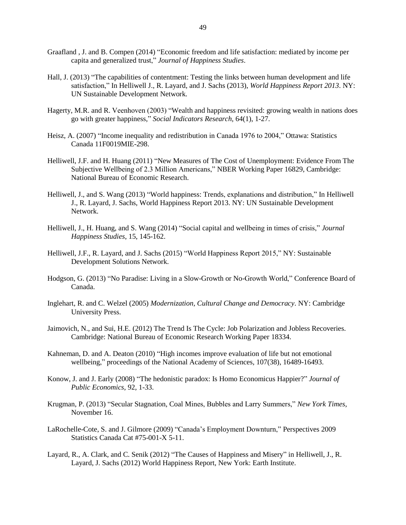- Graafland , J. and B. Compen (2014) "Economic freedom and life satisfaction: mediated by income per capita and generalized trust," *Journal of Happiness Studies*.
- Hall, J. (2013) "The capabilities of contentment: Testing the links between human development and life satisfaction," In Helliwell J., R. Layard, and J. Sachs (2013), *World Happiness Report 2013*. NY: UN Sustainable Development Network.
- Hagerty, M.R. and R. Veenhoven (2003) "Wealth and happiness revisited: growing wealth in nations does go with greater happiness," *Social Indicators Research,* 64(1), 1-27.
- Heisz, A. (2007) "Income inequality and redistribution in Canada 1976 to 2004," Ottawa: Statistics Canada 11F0019MIE-298.
- Helliwell, J.F. and H. Huang (2011) "New Measures of The Cost of Unemployment: Evidence From The Subjective Wellbeing of 2.3 Million Americans," NBER Working Paper 16829, Cambridge: National Bureau of Economic Research.
- Helliwell, J., and S. Wang (2013) "World happiness: Trends, explanations and distribution," In Helliwell J., R. Layard, J. Sachs, World Happiness Report 2013. NY: UN Sustainable Development Network.
- Helliwell, J., H. Huang, and S. Wang (2014) "Social capital and wellbeing in times of crisis," *Journal Happiness Studies*, 15, 145-162.
- Helliwell, J.F., R. Layard, and J. Sachs (2015) "World Happiness Report 2015," NY: Sustainable Development Solutions Network.
- Hodgson, G. (2013) "No Paradise: Living in a Slow-Growth or No-Growth World," Conference Board of Canada.
- Inglehart, R. and C. Welzel (2005) *Modernization, Cultural Change and Democracy*. NY: Cambridge University Press.
- Jaimovich, N., and Sui, H.E. (2012) The Trend Is The Cycle: Job Polarization and Jobless Recoveries. Cambridge: National Bureau of Economic Research Working Paper 18334.
- Kahneman, D. and A. Deaton (2010) "High incomes improve evaluation of life but not emotional wellbeing," proceedings of the National Academy of Sciences, 107(38), 16489-16493.
- Konow, J. and J. Early (2008) "The hedonistic paradox: Is Homo Economicus Happier?" *Journal of Public Economics*, 92, 1-33.
- Krugman, P. (2013) "Secular Stagnation, Coal Mines, Bubbles and Larry Summers," *New York Times*, November 16.
- LaRochelle-Cote, S. and J. Gilmore (2009) "Canada's Employment Downturn," Perspectives 2009 Statistics Canada Cat #75-001-X 5-11.
- Layard, R., A. Clark, and C. Senik (2012) "The Causes of Happiness and Misery" in Helliwell, J., R. Layard, J. Sachs (2012) World Happiness Report, New York: Earth Institute.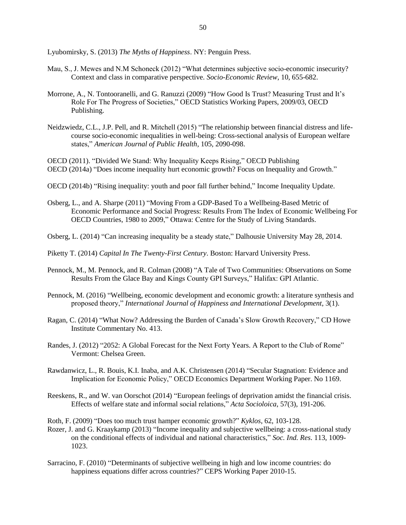Lyubomirsky, S. (2013) *The Myths of Happiness*. NY: Penguin Press.

- Mau, S., J. Mewes and N.M Schoneck (2012) "What determines subjective socio-economic insecurity? Context and class in comparative perspective. *Socio-Economic Review*, 10, 655-682.
- Morrone, A., N. Tontooranelli, and G. Ranuzzi (2009) "How Good Is Trust? Measuring Trust and It's Role For The Progress of Societies," OECD Statistics Working Papers, 2009/03, OECD Publishing.
- Neidzwiedz, C.L., J.P. Pell, and R. Mitchell (2015) "The relationship between financial distress and lifecourse socio-economic inequalities in well-being: Cross-sectional analysis of European welfare states," *American Journal of Public Health*, 105, 2090-098.

OECD (2011). "Divided We Stand: Why Inequality Keeps Rising," OECD Publishing OECD (2014a) "Does income inequality hurt economic growth? Focus on Inequality and Growth."

- OECD (2014b) "Rising inequality: youth and poor fall further behind," Income Inequality Update.
- Osberg, L., and A. Sharpe (2011) "Moving From a GDP-Based To a Wellbeing-Based Metric of Economic Performance and Social Progress: Results From The Index of Economic Wellbeing For OECD Countries, 1980 to 2009," Ottawa: Centre for the Study of Living Standards.
- Osberg, L. (2014) "Can increasing inequality be a steady state," Dalhousie University May 28, 2014.
- Piketty T. (2014) *Capital In The Twenty-First Century*. Boston: Harvard University Press.
- Pennock, M., M. Pennock, and R. Colman (2008) "A Tale of Two Communities: Observations on Some Results From the Glace Bay and Kings County GPI Surveys," Halifax: GPI Atlantic.
- Pennock, M. (2016) "Wellbeing, economic development and economic growth: a literature synthesis and proposed theory," *International Journal of Happiness and International Development*, 3(1).
- Ragan, C. (2014) "What Now? Addressing the Burden of Canada's Slow Growth Recovery," CD Howe Institute Commentary No. 413.
- Randes, J. (2012) "2052: A Global Forecast for the Next Forty Years. A Report to the Club of Rome" Vermont: Chelsea Green.
- Rawdanwicz, L., R. Bouis, K.I. Inaba, and A.K. Christensen (2014) "Secular Stagnation: Evidence and Implication for Economic Policy," OECD Economics Department Working Paper. No 1169.
- Reeskens, R., and W. van Oorschot (2014) "European feelings of deprivation amidst the financial crisis. Effects of welfare state and informal social relations," *Acta Socioloica*, 57(3), 191-206.
- Roth, F. (2009) "Does too much trust hamper economic growth?" *Kyklos*, 62, 103-128.
- Rozer, J. and G. Kraaykamp (2013) "Income inequality and subjective wellbeing: a cross-national study on the conditional effects of individual and national characteristics," *Soc. Ind. Res*. 113, 1009- 1023.
- Sarracino, F. (2010) "Determinants of subjective wellbeing in high and low income countries: do happiness equations differ across countries?" CEPS Working Paper 2010-15.